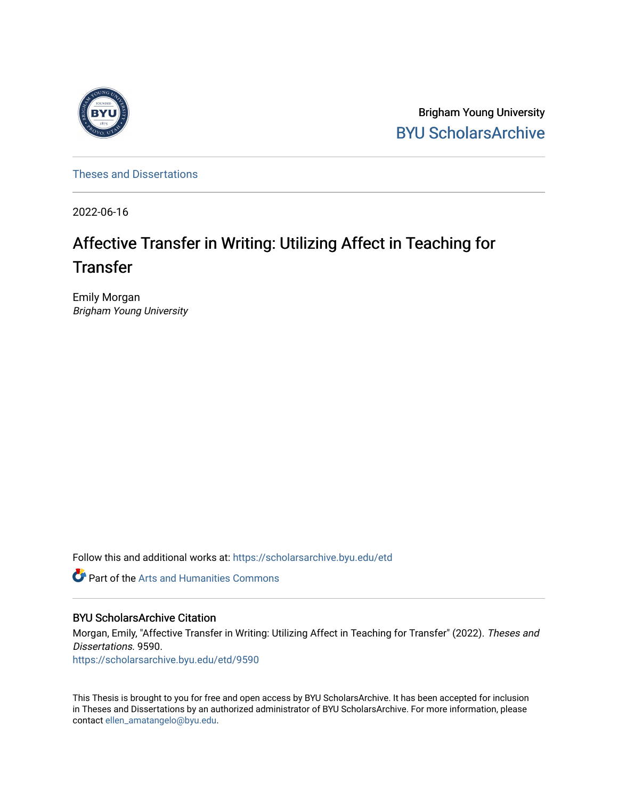

Brigham Young University [BYU ScholarsArchive](https://scholarsarchive.byu.edu/) 

[Theses and Dissertations](https://scholarsarchive.byu.edu/etd)

2022-06-16

# Affective Transfer in Writing: Utilizing Affect in Teaching for **Transfer**

Emily Morgan Brigham Young University

Follow this and additional works at: [https://scholarsarchive.byu.edu/etd](https://scholarsarchive.byu.edu/etd?utm_source=scholarsarchive.byu.edu%2Fetd%2F9590&utm_medium=PDF&utm_campaign=PDFCoverPages)

Part of the [Arts and Humanities Commons](https://network.bepress.com/hgg/discipline/438?utm_source=scholarsarchive.byu.edu%2Fetd%2F9590&utm_medium=PDF&utm_campaign=PDFCoverPages) 

## BYU ScholarsArchive Citation

Morgan, Emily, "Affective Transfer in Writing: Utilizing Affect in Teaching for Transfer" (2022). Theses and Dissertations. 9590.

[https://scholarsarchive.byu.edu/etd/9590](https://scholarsarchive.byu.edu/etd/9590?utm_source=scholarsarchive.byu.edu%2Fetd%2F9590&utm_medium=PDF&utm_campaign=PDFCoverPages) 

This Thesis is brought to you for free and open access by BYU ScholarsArchive. It has been accepted for inclusion in Theses and Dissertations by an authorized administrator of BYU ScholarsArchive. For more information, please contact [ellen\\_amatangelo@byu.edu.](mailto:ellen_amatangelo@byu.edu)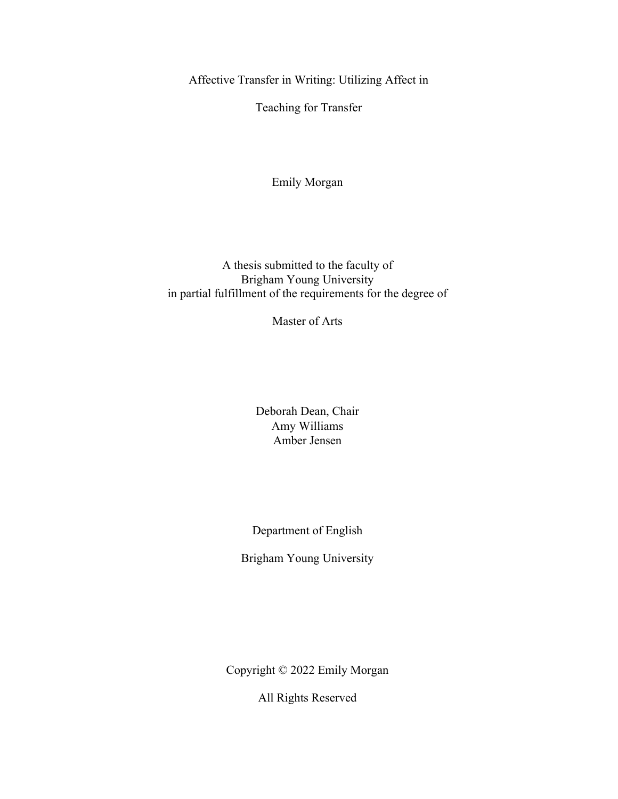<span id="page-1-0"></span>Affective Transfer in Writing: Utilizing Affect in

Teaching for Transfer

Emily Morgan

A thesis submitted to the faculty of Brigham Young University in partial fulfillment of the requirements for the degree of

Master of Arts

Deborah Dean, Chair Amy Williams Amber Jensen

Department of English

Brigham Young University

Copyright © 2022 Emily Morgan

All Rights Reserved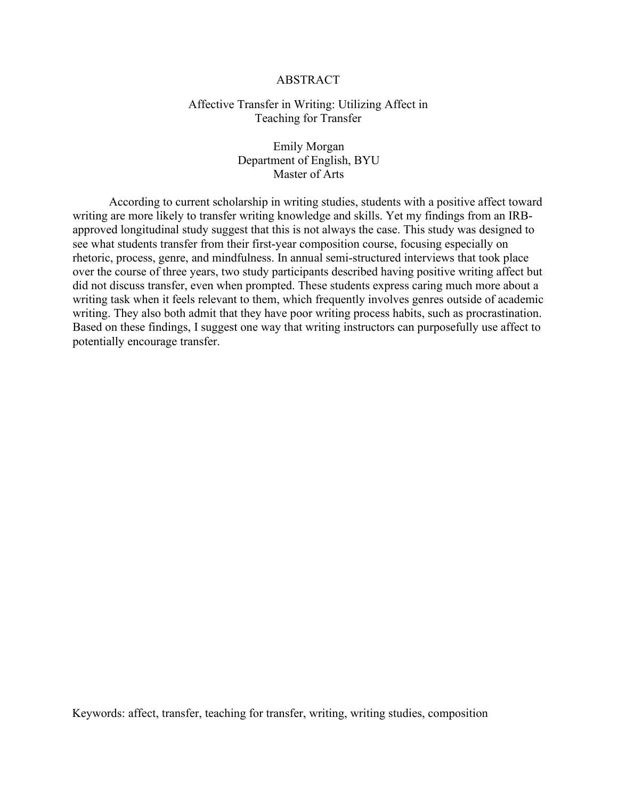### ABSTRACT

### <span id="page-2-0"></span>Affective Transfer in Writing: Utilizing Affect in Teaching for Transfer

Emily Morgan Department of English, BYU Master of Arts

According to current scholarship in writing studies, students with a positive affect toward writing are more likely to transfer writing knowledge and skills. Yet my findings from an IRBapproved longitudinal study suggest that this is not always the case. This study was designed to see what students transfer from their first-year composition course, focusing especially on rhetoric, process, genre, and mindfulness. In annual semi-structured interviews that took place over the course of three years, two study participants described having positive writing affect but did not discuss transfer, even when prompted. These students express caring much more about a writing task when it feels relevant to them, which frequently involves genres outside of academic writing. They also both admit that they have poor writing process habits, such as procrastination. Based on these findings, I suggest one way that writing instructors can purposefully use affect to potentially encourage transfer.

Keywords: affect, transfer, teaching for transfer, writing, writing studies, composition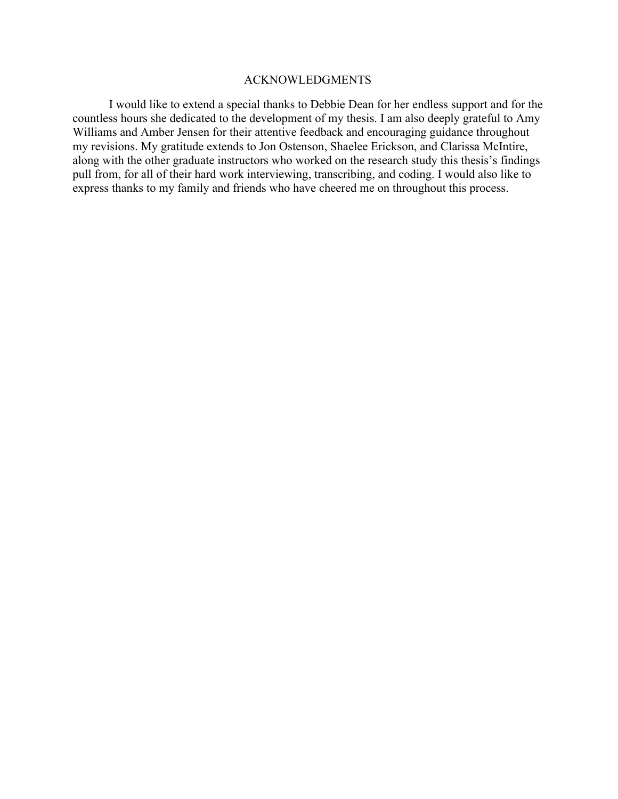#### ACKNOWLEDGMENTS

<span id="page-3-0"></span>I would like to extend a special thanks to Debbie Dean for her endless support and for the countless hours she dedicated to the development of my thesis. I am also deeply grateful to Amy Williams and Amber Jensen for their attentive feedback and encouraging guidance throughout my revisions. My gratitude extends to Jon Ostenson, Shaelee Erickson, and Clarissa McIntire, along with the other graduate instructors who worked on the research study this thesis's findings pull from, for all of their hard work interviewing, transcribing, and coding. I would also like to express thanks to my family and friends who have cheered me on throughout this process.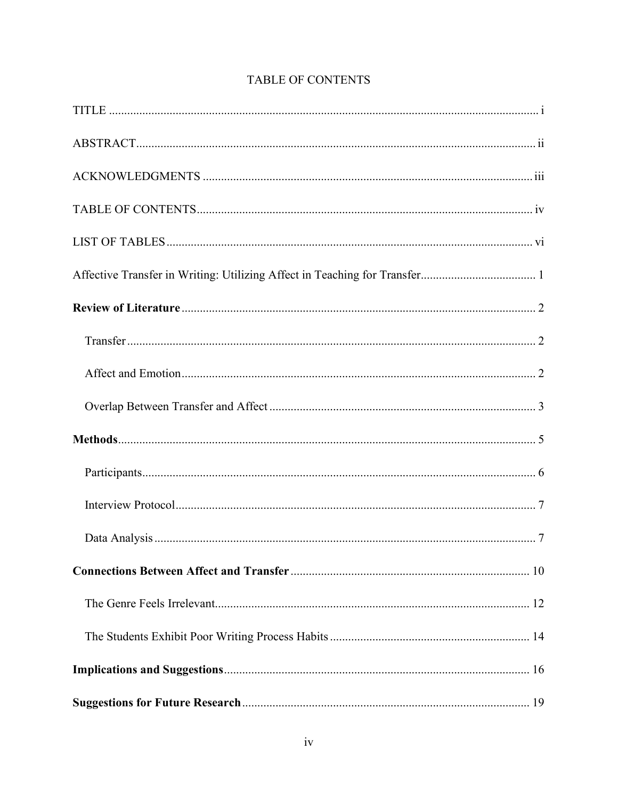<span id="page-4-0"></span>

# TABLE OF CONTENTS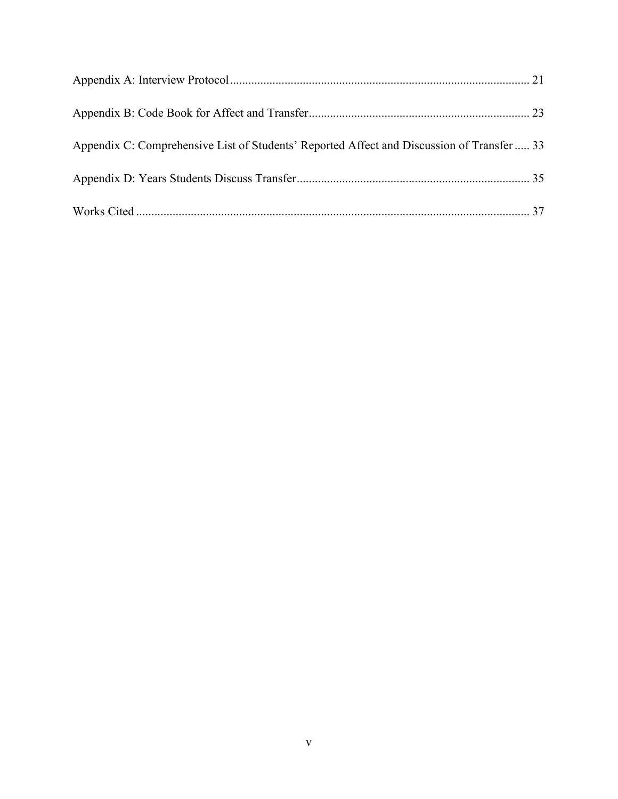| Appendix C: Comprehensive List of Students' Reported Affect and Discussion of Transfer 33 |  |
|-------------------------------------------------------------------------------------------|--|
|                                                                                           |  |
|                                                                                           |  |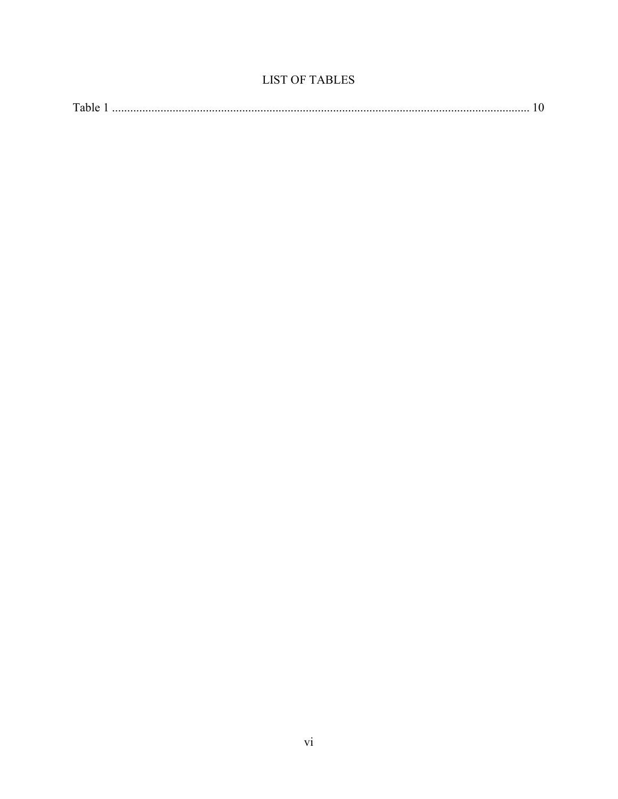# **LIST OF TABLES**

<span id="page-6-0"></span>

| T <sub>1</sub> |  |  |
|----------------|--|--|
|----------------|--|--|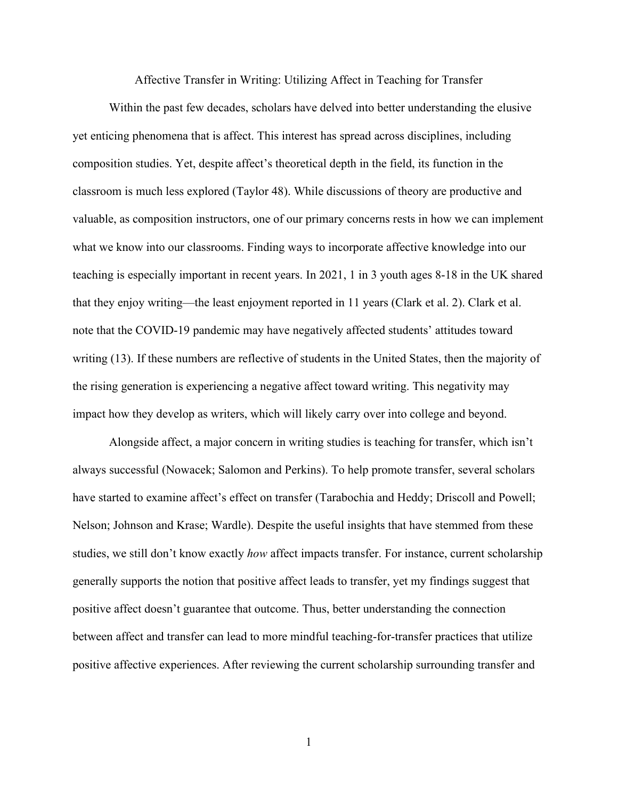Affective Transfer in Writing: Utilizing Affect in Teaching for Transfer

<span id="page-7-0"></span>Within the past few decades, scholars have delved into better understanding the elusive yet enticing phenomena that is affect. This interest has spread across disciplines, including composition studies. Yet, despite affect's theoretical depth in the field, its function in the classroom is much less explored (Taylor 48). While discussions of theory are productive and valuable, as composition instructors, one of our primary concerns rests in how we can implement what we know into our classrooms. Finding ways to incorporate affective knowledge into our teaching is especially important in recent years. In 2021, 1 in 3 youth ages 8-18 in the UK shared that they enjoy writing—the least enjoyment reported in 11 years (Clark et al. 2). Clark et al. note that the COVID-19 pandemic may have negatively affected students' attitudes toward writing (13). If these numbers are reflective of students in the United States, then the majority of the rising generation is experiencing a negative affect toward writing. This negativity may impact how they develop as writers, which will likely carry over into college and beyond.

Alongside affect, a major concern in writing studies is teaching for transfer, which isn't always successful (Nowacek; Salomon and Perkins). To help promote transfer, several scholars have started to examine affect's effect on transfer (Tarabochia and Heddy; Driscoll and Powell; Nelson; Johnson and Krase; Wardle). Despite the useful insights that have stemmed from these studies, we still don't know exactly *how* affect impacts transfer. For instance, current scholarship generally supports the notion that positive affect leads to transfer, yet my findings suggest that positive affect doesn't guarantee that outcome. Thus, better understanding the connection between affect and transfer can lead to more mindful teaching-for-transfer practices that utilize positive affective experiences. After reviewing the current scholarship surrounding transfer and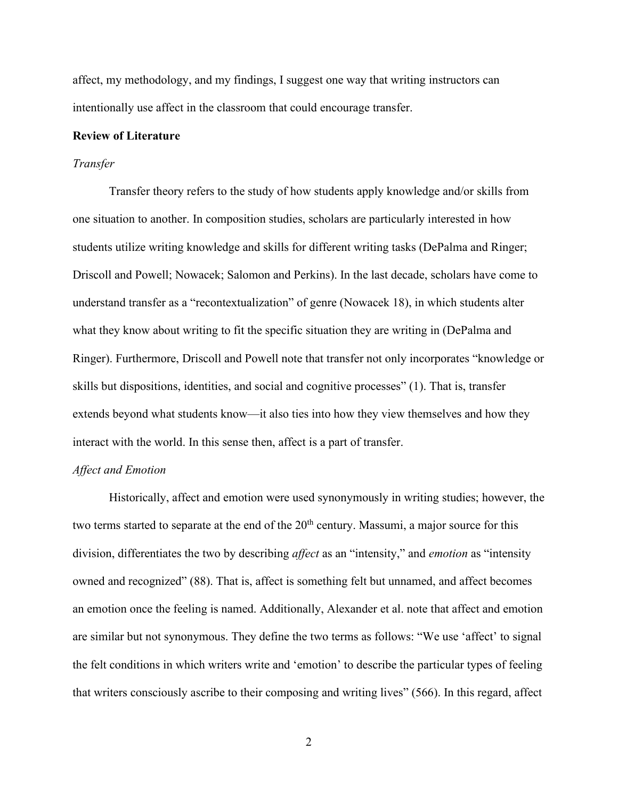affect, my methodology, and my findings, I suggest one way that writing instructors can intentionally use affect in the classroom that could encourage transfer.

### <span id="page-8-0"></span>**Review of Literature**

#### <span id="page-8-1"></span>*Transfer*

Transfer theory refers to the study of how students apply knowledge and/or skills from one situation to another. In composition studies, scholars are particularly interested in how students utilize writing knowledge and skills for different writing tasks (DePalma and Ringer; Driscoll and Powell; Nowacek; Salomon and Perkins). In the last decade, scholars have come to understand transfer as a "recontextualization" of genre (Nowacek 18), in which students alter what they know about writing to fit the specific situation they are writing in (DePalma and Ringer). Furthermore, Driscoll and Powell note that transfer not only incorporates "knowledge or skills but dispositions, identities, and social and cognitive processes" (1). That is, transfer extends beyond what students know—it also ties into how they view themselves and how they interact with the world. In this sense then, affect is a part of transfer.

#### <span id="page-8-2"></span>*Affect and Emotion*

Historically, affect and emotion were used synonymously in writing studies; however, the two terms started to separate at the end of the  $20<sup>th</sup>$  century. Massumi, a major source for this division, differentiates the two by describing *affect* as an "intensity," and *emotion* as "intensity owned and recognized" (88). That is, affect is something felt but unnamed, and affect becomes an emotion once the feeling is named. Additionally, Alexander et al. note that affect and emotion are similar but not synonymous. They define the two terms as follows: "We use 'affect' to signal the felt conditions in which writers write and 'emotion' to describe the particular types of feeling that writers consciously ascribe to their composing and writing lives" (566). In this regard, affect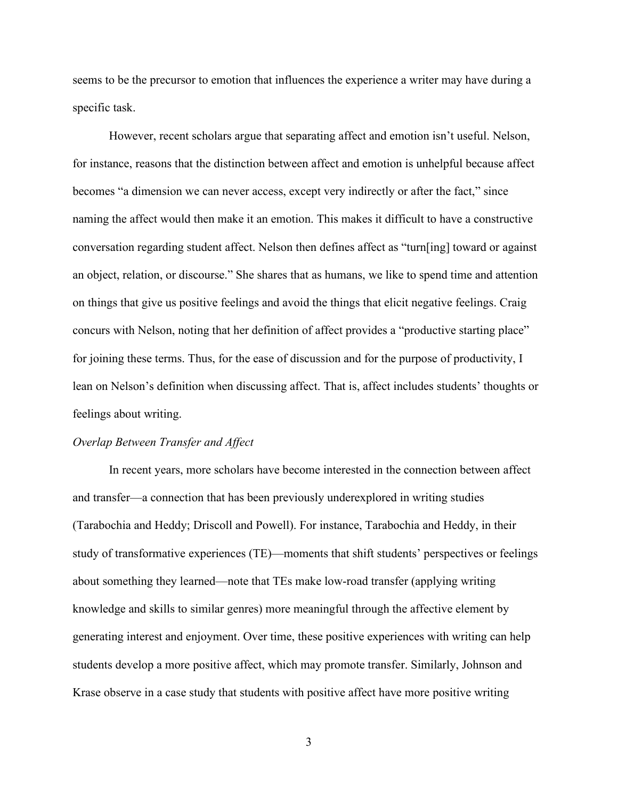seems to be the precursor to emotion that influences the experience a writer may have during a specific task.

However, recent scholars argue that separating affect and emotion isn't useful. Nelson, for instance, reasons that the distinction between affect and emotion is unhelpful because affect becomes "a dimension we can never access, except very indirectly or after the fact," since naming the affect would then make it an emotion. This makes it difficult to have a constructive conversation regarding student affect. Nelson then defines affect as "turn[ing] toward or against an object, relation, or discourse." She shares that as humans, we like to spend time and attention on things that give us positive feelings and avoid the things that elicit negative feelings. Craig concurs with Nelson, noting that her definition of affect provides a "productive starting place" for joining these terms. Thus, for the ease of discussion and for the purpose of productivity, I lean on Nelson's definition when discussing affect. That is, affect includes students' thoughts or feelings about writing.

#### <span id="page-9-0"></span>*Overlap Between Transfer and Affect*

In recent years, more scholars have become interested in the connection between affect and transfer—a connection that has been previously underexplored in writing studies (Tarabochia and Heddy; Driscoll and Powell). For instance, Tarabochia and Heddy, in their study of transformative experiences (TE)—moments that shift students' perspectives or feelings about something they learned—note that TEs make low-road transfer (applying writing knowledge and skills to similar genres) more meaningful through the affective element by generating interest and enjoyment. Over time, these positive experiences with writing can help students develop a more positive affect, which may promote transfer. Similarly, Johnson and Krase observe in a case study that students with positive affect have more positive writing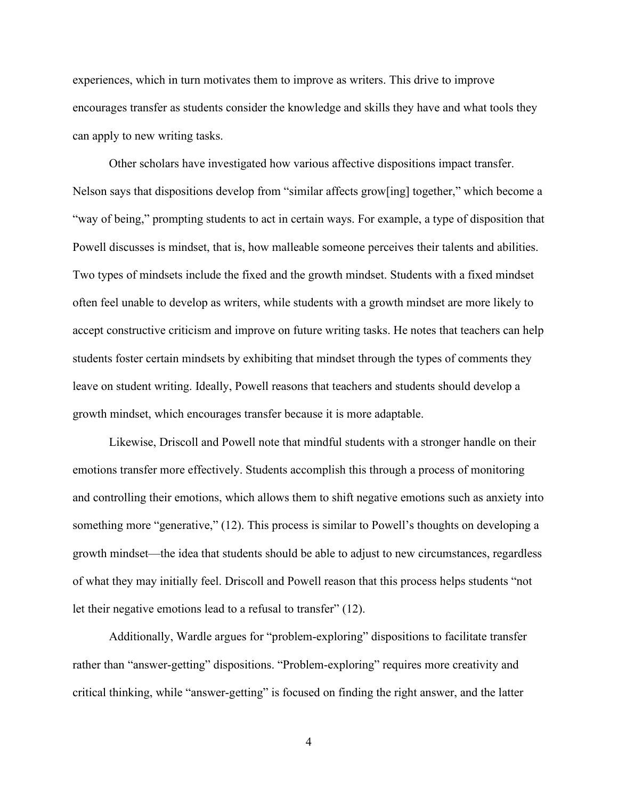experiences, which in turn motivates them to improve as writers. This drive to improve encourages transfer as students consider the knowledge and skills they have and what tools they can apply to new writing tasks.

Other scholars have investigated how various affective dispositions impact transfer. Nelson says that dispositions develop from "similar affects grow[ing] together," which become a "way of being," prompting students to act in certain ways. For example, a type of disposition that Powell discusses is mindset, that is, how malleable someone perceives their talents and abilities. Two types of mindsets include the fixed and the growth mindset. Students with a fixed mindset often feel unable to develop as writers, while students with a growth mindset are more likely to accept constructive criticism and improve on future writing tasks. He notes that teachers can help students foster certain mindsets by exhibiting that mindset through the types of comments they leave on student writing. Ideally, Powell reasons that teachers and students should develop a growth mindset, which encourages transfer because it is more adaptable.

Likewise, Driscoll and Powell note that mindful students with a stronger handle on their emotions transfer more effectively. Students accomplish this through a process of monitoring and controlling their emotions, which allows them to shift negative emotions such as anxiety into something more "generative," (12). This process is similar to Powell's thoughts on developing a growth mindset—the idea that students should be able to adjust to new circumstances, regardless of what they may initially feel. Driscoll and Powell reason that this process helps students "not let their negative emotions lead to a refusal to transfer" (12).

Additionally, Wardle argues for "problem-exploring" dispositions to facilitate transfer rather than "answer-getting" dispositions. "Problem-exploring" requires more creativity and critical thinking, while "answer-getting" is focused on finding the right answer, and the latter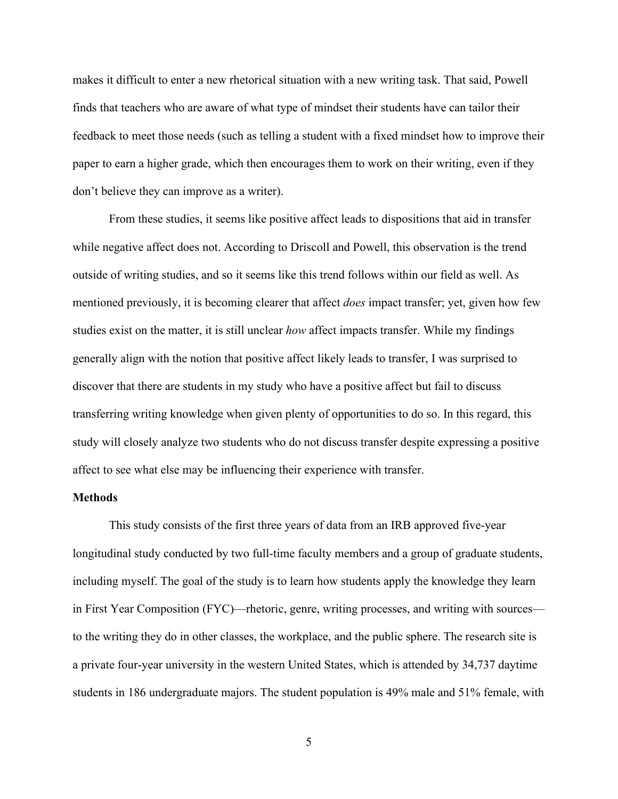makes it difficult to enter a new rhetorical situation with a new writing task. That said, Powell finds that teachers who are aware of what type of mindset their students have can tailor their feedback to meet those needs (such as telling a student with a fixed mindset how to improve their paper to earn a higher grade, which then encourages them to work on their writing, even if they don't believe they can improve as a writer).

From these studies, it seems like positive affect leads to dispositions that aid in transfer while negative affect does not. According to Driscoll and Powell, this observation is the trend outside of writing studies, and so it seems like this trend follows within our field as well. As mentioned previously, it is becoming clearer that affect *does* impact transfer; yet, given how few studies exist on the matter, it is still unclear *how* affect impacts transfer. While my findings generally align with the notion that positive affect likely leads to transfer, I was surprised to discover that there are students in my study who have a positive affect but fail to discuss transferring writing knowledge when given plenty of opportunities to do so. In this regard, this study will closely analyze two students who do not discuss transfer despite expressing a positive affect to see what else may be influencing their experience with transfer.

### <span id="page-11-0"></span>**Methods**

This study consists of the first three years of data from an IRB approved five-year longitudinal study conducted by two full-time faculty members and a group of graduate students, including myself. The goal of the study is to learn how students apply the knowledge they learn in First Year Composition (FYC)—rhetoric, genre, writing processes, and writing with sources to the writing they do in other classes, the workplace, and the public sphere. The research site is a private four-year university in the western United States, which is attended by 34,737 daytime students in 186 undergraduate majors. The student population is 49% male and 51% female, with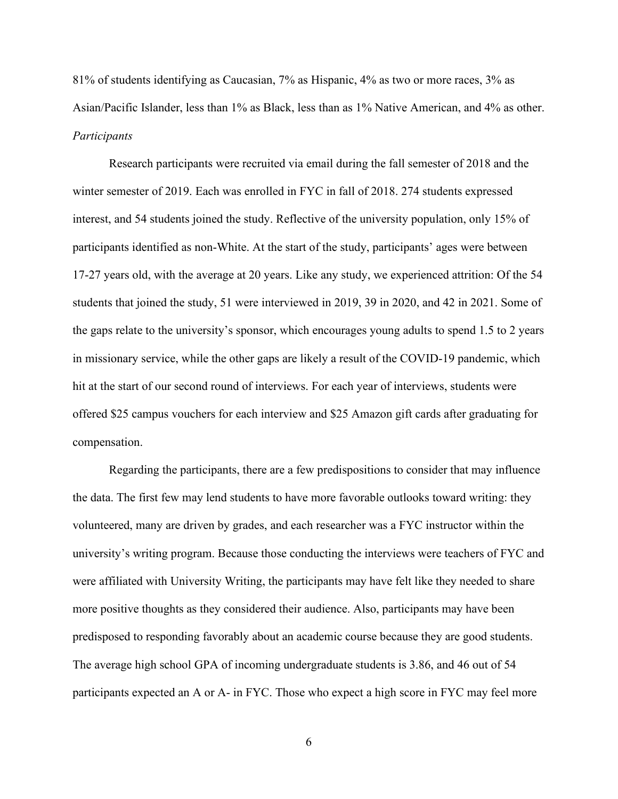81% of students identifying as Caucasian, 7% as Hispanic, 4% as two or more races, 3% as Asian/Pacific Islander, less than 1% as Black, less than as 1% Native American, and 4% as other. *Participants* 

<span id="page-12-0"></span>Research participants were recruited via email during the fall semester of 2018 and the winter semester of 2019. Each was enrolled in FYC in fall of 2018. 274 students expressed interest, and 54 students joined the study. Reflective of the university population, only 15% of participants identified as non-White. At the start of the study, participants' ages were between 17-27 years old, with the average at 20 years. Like any study, we experienced attrition: Of the 54 students that joined the study, 51 were interviewed in 2019, 39 in 2020, and 42 in 2021. Some of the gaps relate to the university's sponsor, which encourages young adults to spend 1.5 to 2 years in missionary service, while the other gaps are likely a result of the COVID-19 pandemic, which hit at the start of our second round of interviews. For each year of interviews, students were offered \$25 campus vouchers for each interview and \$25 Amazon gift cards after graduating for compensation.

Regarding the participants, there are a few predispositions to consider that may influence the data. The first few may lend students to have more favorable outlooks toward writing: they volunteered, many are driven by grades, and each researcher was a FYC instructor within the university's writing program. Because those conducting the interviews were teachers of FYC and were affiliated with University Writing, the participants may have felt like they needed to share more positive thoughts as they considered their audience. Also, participants may have been predisposed to responding favorably about an academic course because they are good students. The average high school GPA of incoming undergraduate students is 3.86, and 46 out of 54 participants expected an A or A- in FYC. Those who expect a high score in FYC may feel more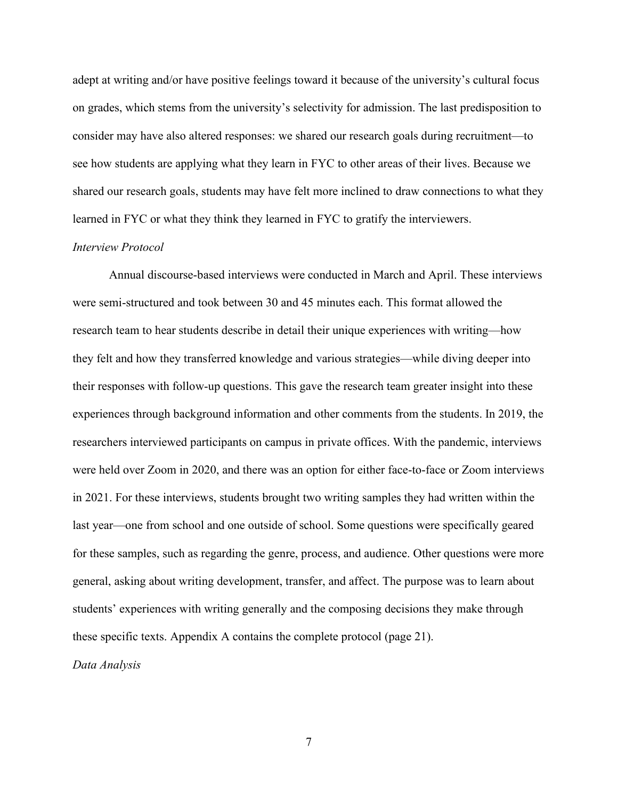adept at writing and/or have positive feelings toward it because of the university's cultural focus on grades, which stems from the university's selectivity for admission. The last predisposition to consider may have also altered responses: we shared our research goals during recruitment—to see how students are applying what they learn in FYC to other areas of their lives. Because we shared our research goals, students may have felt more inclined to draw connections to what they learned in FYC or what they think they learned in FYC to gratify the interviewers.

## <span id="page-13-0"></span>*Interview Protocol*

<span id="page-13-1"></span>Annual discourse-based interviews were conducted in March and April. These interviews were semi-structured and took between 30 and 45 minutes each. This format allowed the research team to hear students describe in detail their unique experiences with writing—how they felt and how they transferred knowledge and various strategies—while diving deeper into their responses with follow-up questions. This gave the research team greater insight into these experiences through background information and other comments from the students. In 2019, the researchers interviewed participants on campus in private offices. With the pandemic, interviews were held over Zoom in 2020, and there was an option for either face-to-face or Zoom interviews in 2021. For these interviews, students brought two writing samples they had written within the last year—one from school and one outside of school. Some questions were specifically geared for these samples, such as regarding the genre, process, and audience. Other questions were more general, asking about writing development, transfer, and affect. The purpose was to learn about students' experiences with writing generally and the composing decisions they make through these specific texts. Appendix A contains the complete protocol (page 21). *Data Analysis*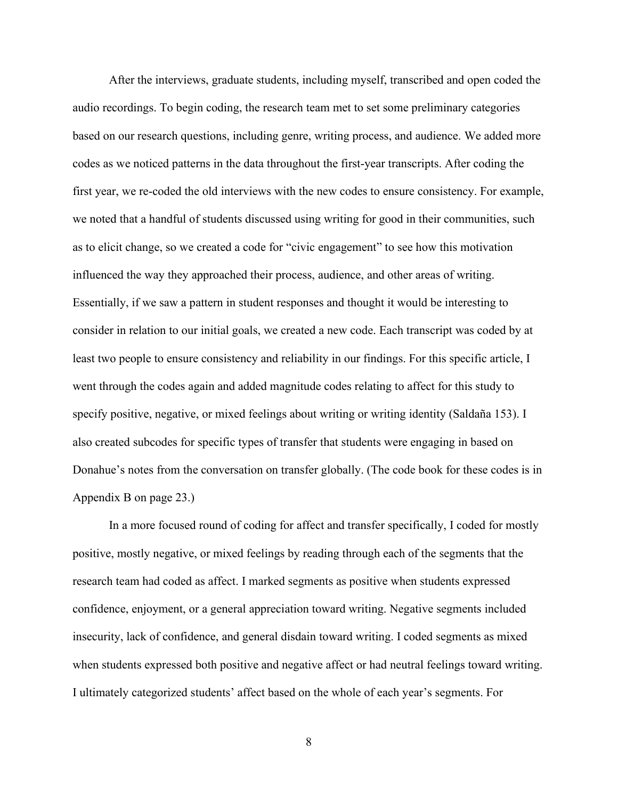After the interviews, graduate students, including myself, transcribed and open coded the audio recordings. To begin coding, the research team met to set some preliminary categories based on our research questions, including genre, writing process, and audience. We added more codes as we noticed patterns in the data throughout the first-year transcripts. After coding the first year, we re-coded the old interviews with the new codes to ensure consistency. For example, we noted that a handful of students discussed using writing for good in their communities, such as to elicit change, so we created a code for "civic engagement" to see how this motivation influenced the way they approached their process, audience, and other areas of writing. Essentially, if we saw a pattern in student responses and thought it would be interesting to consider in relation to our initial goals, we created a new code. Each transcript was coded by at least two people to ensure consistency and reliability in our findings. For this specific article, I went through the codes again and added magnitude codes relating to affect for this study to specify positive, negative, or mixed feelings about writing or writing identity (Saldaña 153). I also created subcodes for specific types of transfer that students were engaging in based on Donahue's notes from the conversation on transfer globally. (The code book for these codes is in Appendix B on page 23.)

In a more focused round of coding for affect and transfer specifically, I coded for mostly positive, mostly negative, or mixed feelings by reading through each of the segments that the research team had coded as affect. I marked segments as positive when students expressed confidence, enjoyment, or a general appreciation toward writing. Negative segments included insecurity, lack of confidence, and general disdain toward writing. I coded segments as mixed when students expressed both positive and negative affect or had neutral feelings toward writing. I ultimately categorized students' affect based on the whole of each year's segments. For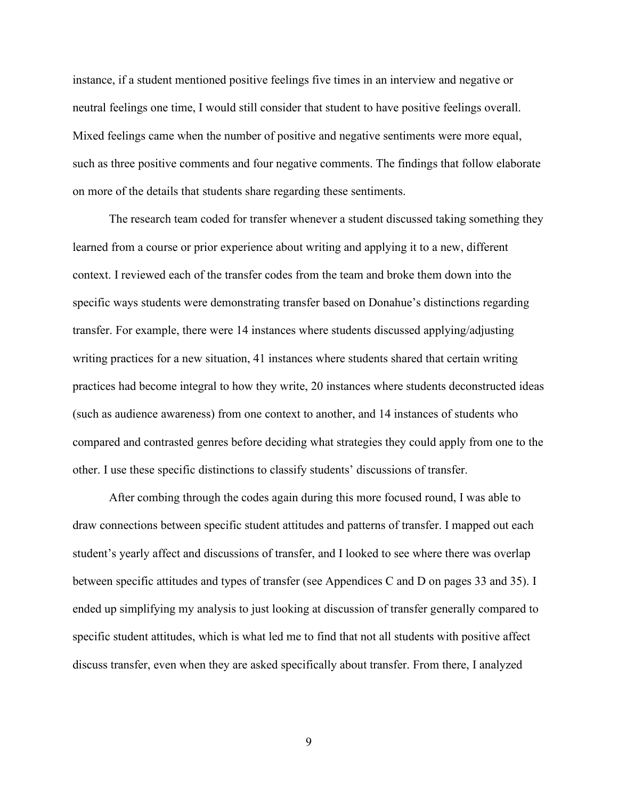instance, if a student mentioned positive feelings five times in an interview and negative or neutral feelings one time, I would still consider that student to have positive feelings overall. Mixed feelings came when the number of positive and negative sentiments were more equal, such as three positive comments and four negative comments. The findings that follow elaborate on more of the details that students share regarding these sentiments.

The research team coded for transfer whenever a student discussed taking something they learned from a course or prior experience about writing and applying it to a new, different context. I reviewed each of the transfer codes from the team and broke them down into the specific ways students were demonstrating transfer based on Donahue's distinctions regarding transfer. For example, there were 14 instances where students discussed applying/adjusting writing practices for a new situation, 41 instances where students shared that certain writing practices had become integral to how they write, 20 instances where students deconstructed ideas (such as audience awareness) from one context to another, and 14 instances of students who compared and contrasted genres before deciding what strategies they could apply from one to the other. I use these specific distinctions to classify students' discussions of transfer.

After combing through the codes again during this more focused round, I was able to draw connections between specific student attitudes and patterns of transfer. I mapped out each student's yearly affect and discussions of transfer, and I looked to see where there was overlap between specific attitudes and types of transfer (see Appendices C and D on pages 33 and 35). I ended up simplifying my analysis to just looking at discussion of transfer generally compared to specific student attitudes, which is what led me to find that not all students with positive affect discuss transfer, even when they are asked specifically about transfer. From there, I analyzed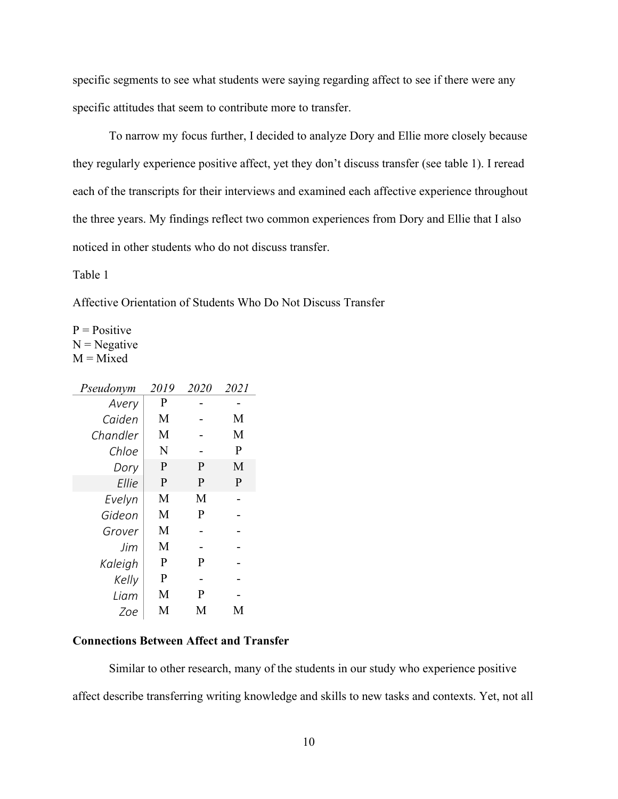specific segments to see what students were saying regarding affect to see if there were any specific attitudes that seem to contribute more to transfer.

To narrow my focus further, I decided to analyze Dory and Ellie more closely because they regularly experience positive affect, yet they don't discuss transfer (see table 1). I reread each of the transcripts for their interviews and examined each affective experience throughout the three years. My findings reflect two common experiences from Dory and Ellie that I also noticed in other students who do not discuss transfer.

<span id="page-16-1"></span>Table 1

Affective Orientation of Students Who Do Not Discuss Transfer

 $P = Positive$  $N = Negative$  $M = Mixed$ 

| Pseudonym | 2019 | 2020 | 2021 |
|-----------|------|------|------|
| Avery     | P    |      |      |
| Caiden    | М    |      | М    |
| Chandler  | М    |      | M    |
| Chloe     | N    |      | P    |
| Dory      | P    | P    | M    |
| Ellie     | P    | P    | P    |
| Evelyn    | M    | M    |      |
| Gideon    | M    | P    |      |
| Grover    | M    |      |      |
| Jim       | M    |      |      |
| Kaleigh   | P    | P    |      |
| Kelly     | P    |      |      |
| I iam     | M    | P    |      |
| Zoe       | M    | M    | М    |

# <span id="page-16-0"></span>**Connections Between Affect and Transfer**

Similar to other research, many of the students in our study who experience positive

affect describe transferring writing knowledge and skills to new tasks and contexts. Yet, not all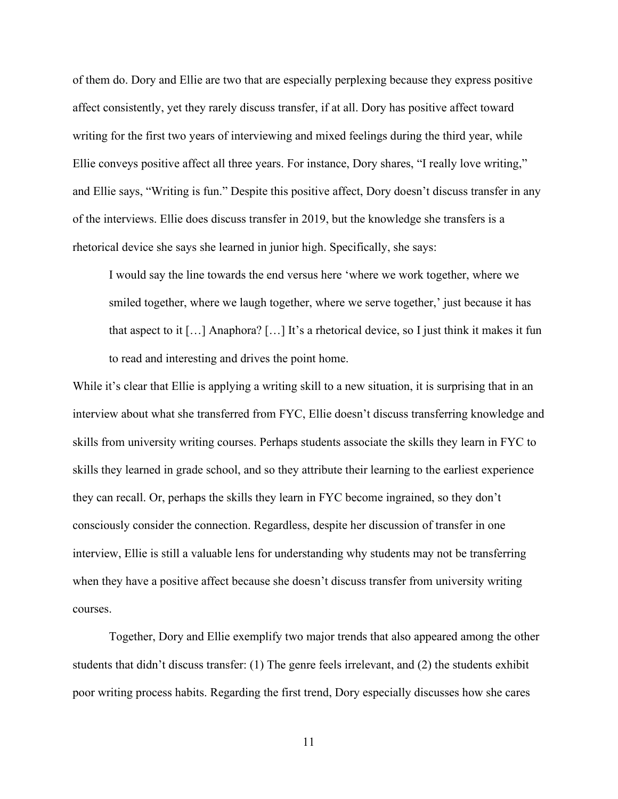of them do. Dory and Ellie are two that are especially perplexing because they express positive affect consistently, yet they rarely discuss transfer, if at all. Dory has positive affect toward writing for the first two years of interviewing and mixed feelings during the third year, while Ellie conveys positive affect all three years. For instance, Dory shares, "I really love writing," and Ellie says, "Writing is fun." Despite this positive affect, Dory doesn't discuss transfer in any of the interviews. Ellie does discuss transfer in 2019, but the knowledge she transfers is a rhetorical device she says she learned in junior high. Specifically, she says:

I would say the line towards the end versus here 'where we work together, where we smiled together, where we laugh together, where we serve together,' just because it has that aspect to it […] Anaphora? […] It's a rhetorical device, so I just think it makes it fun to read and interesting and drives the point home.

While it's clear that Ellie is applying a writing skill to a new situation, it is surprising that in an interview about what she transferred from FYC, Ellie doesn't discuss transferring knowledge and skills from university writing courses. Perhaps students associate the skills they learn in FYC to skills they learned in grade school, and so they attribute their learning to the earliest experience they can recall. Or, perhaps the skills they learn in FYC become ingrained, so they don't consciously consider the connection. Regardless, despite her discussion of transfer in one interview, Ellie is still a valuable lens for understanding why students may not be transferring when they have a positive affect because she doesn't discuss transfer from university writing courses.

Together, Dory and Ellie exemplify two major trends that also appeared among the other students that didn't discuss transfer: (1) The genre feels irrelevant, and (2) the students exhibit poor writing process habits. Regarding the first trend, Dory especially discusses how she cares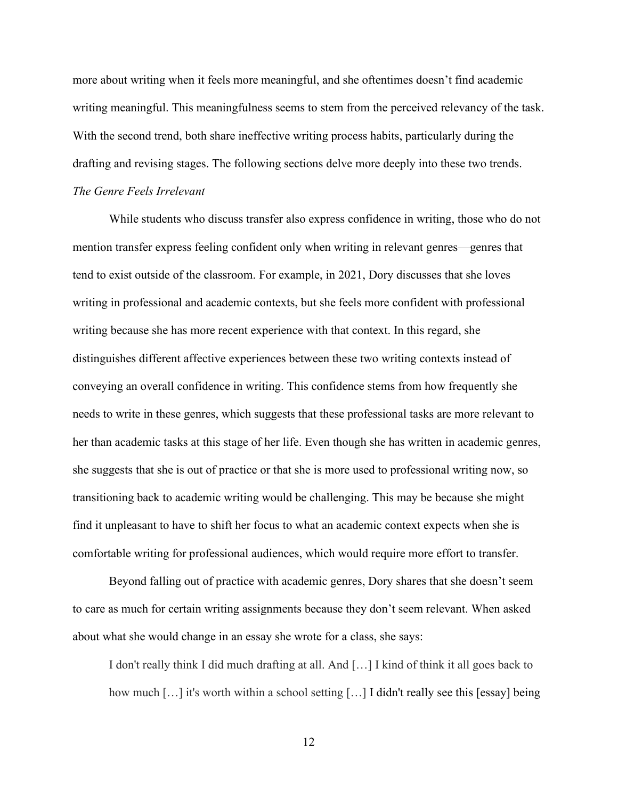more about writing when it feels more meaningful, and she oftentimes doesn't find academic writing meaningful. This meaningfulness seems to stem from the perceived relevancy of the task. With the second trend, both share ineffective writing process habits, particularly during the drafting and revising stages. The following sections delve more deeply into these two trends. *The Genre Feels Irrelevant*

<span id="page-18-0"></span>While students who discuss transfer also express confidence in writing, those who do not mention transfer express feeling confident only when writing in relevant genres—genres that tend to exist outside of the classroom. For example, in 2021, Dory discusses that she loves writing in professional and academic contexts, but she feels more confident with professional writing because she has more recent experience with that context. In this regard, she distinguishes different affective experiences between these two writing contexts instead of conveying an overall confidence in writing. This confidence stems from how frequently she needs to write in these genres, which suggests that these professional tasks are more relevant to her than academic tasks at this stage of her life. Even though she has written in academic genres, she suggests that she is out of practice or that she is more used to professional writing now, so transitioning back to academic writing would be challenging. This may be because she might find it unpleasant to have to shift her focus to what an academic context expects when she is comfortable writing for professional audiences, which would require more effort to transfer.

Beyond falling out of practice with academic genres, Dory shares that she doesn't seem to care as much for certain writing assignments because they don't seem relevant. When asked about what she would change in an essay she wrote for a class, she says:

I don't really think I did much drafting at all. And […] I kind of think it all goes back to how much [...] it's worth within a school setting [...] I didn't really see this [essay] being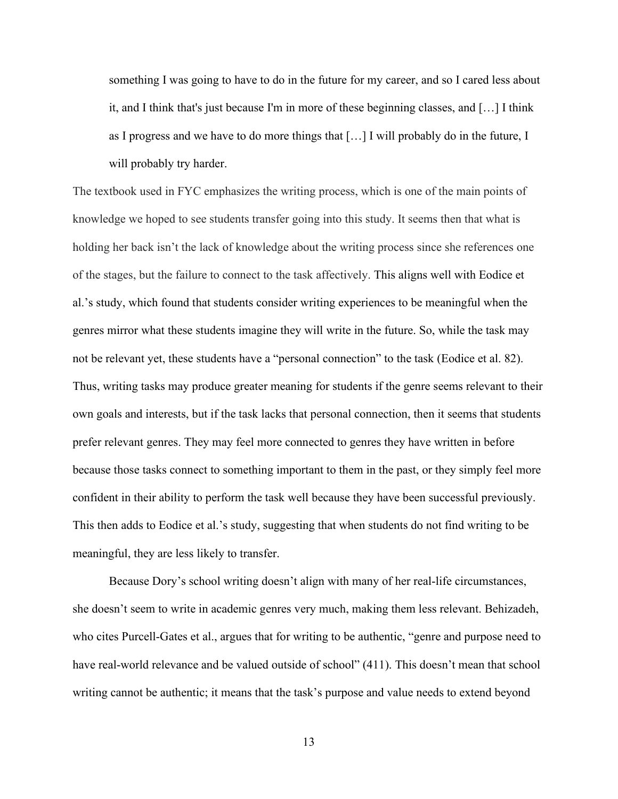something I was going to have to do in the future for my career, and so I cared less about it, and I think that's just because I'm in more of these beginning classes, and […] I think as I progress and we have to do more things that […] I will probably do in the future, I will probably try harder.

The textbook used in FYC emphasizes the writing process, which is one of the main points of knowledge we hoped to see students transfer going into this study. It seems then that what is holding her back isn't the lack of knowledge about the writing process since she references one of the stages, but the failure to connect to the task affectively. This aligns well with Eodice et al.'s study, which found that students consider writing experiences to be meaningful when the genres mirror what these students imagine they will write in the future. So, while the task may not be relevant yet, these students have a "personal connection" to the task (Eodice et al. 82). Thus, writing tasks may produce greater meaning for students if the genre seems relevant to their own goals and interests, but if the task lacks that personal connection, then it seems that students prefer relevant genres. They may feel more connected to genres they have written in before because those tasks connect to something important to them in the past, or they simply feel more confident in their ability to perform the task well because they have been successful previously. This then adds to Eodice et al.'s study, suggesting that when students do not find writing to be meaningful, they are less likely to transfer.

Because Dory's school writing doesn't align with many of her real-life circumstances, she doesn't seem to write in academic genres very much, making them less relevant. Behizadeh, who cites Purcell-Gates et al., argues that for writing to be authentic, "genre and purpose need to have real-world relevance and be valued outside of school" (411). This doesn't mean that school writing cannot be authentic; it means that the task's purpose and value needs to extend beyond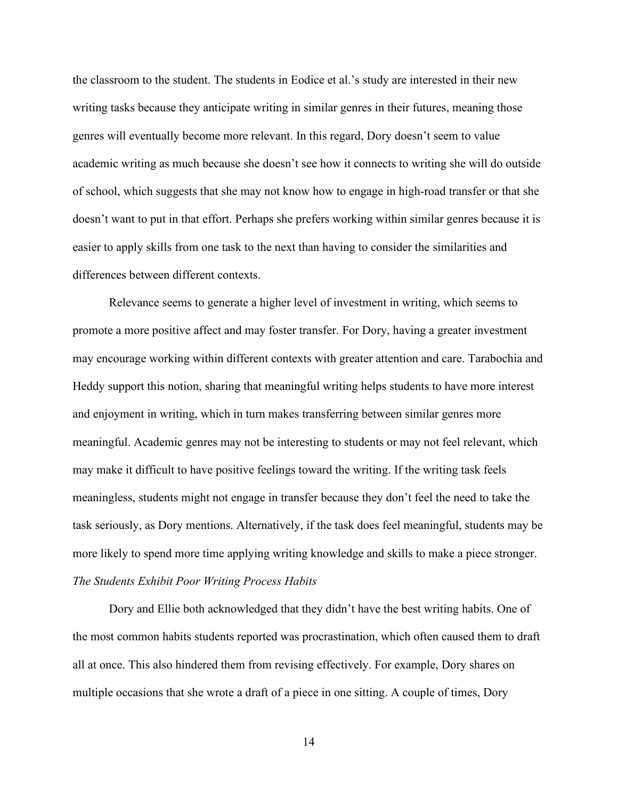the classroom to the student. The students in Eodice et al.'s study are interested in their new writing tasks because they anticipate writing in similar genres in their futures, meaning those genres will eventually become more relevant. In this regard, Dory doesn't seem to value academic writing as much because she doesn't see how it connects to writing she will do outside of school, which suggests that she may not know how to engage in high-road transfer or that she doesn't want to put in that effort. Perhaps she prefers working within similar genres because it is easier to apply skills from one task to the next than having to consider the similarities and differences between different contexts.

Relevance seems to generate a higher level of investment in writing, which seems to promote a more positive affect and may foster transfer. For Dory, having a greater investment may encourage working within different contexts with greater attention and care. Tarabochia and Heddy support this notion, sharing that meaningful writing helps students to have more interest and enjoyment in writing, which in turn makes transferring between similar genres more meaningful. Academic genres may not be interesting to students or may not feel relevant, which may make it difficult to have positive feelings toward the writing. If the writing task feels meaningless, students might not engage in transfer because they don't feel the need to take the task seriously, as Dory mentions. Alternatively, if the task does feel meaningful, students may be more likely to spend more time applying writing knowledge and skills to make a piece stronger. *The Students Exhibit Poor Writing Process Habits*

<span id="page-20-0"></span>Dory and Ellie both acknowledged that they didn't have the best writing habits. One of the most common habits students reported was procrastination, which often caused them to draft all at once. This also hindered them from revising effectively. For example, Dory shares on multiple occasions that she wrote a draft of a piece in one sitting. A couple of times, Dory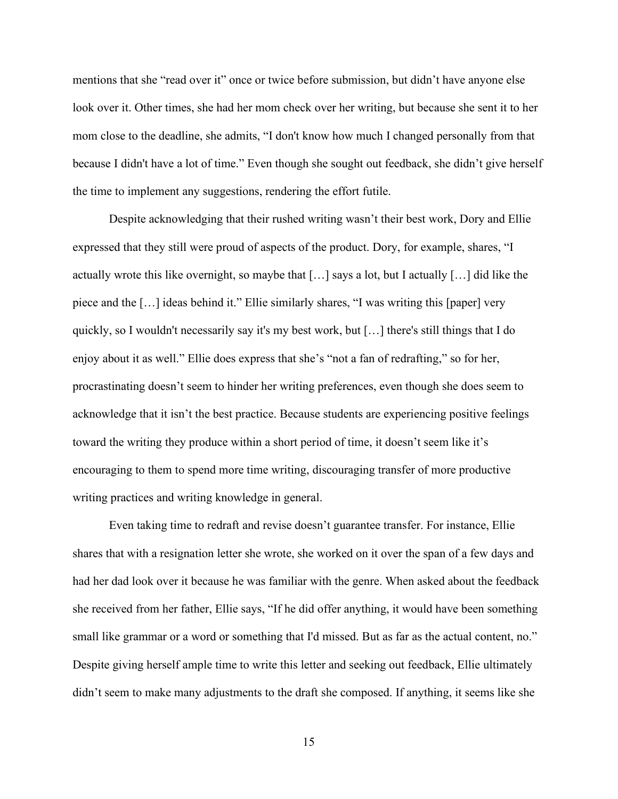mentions that she "read over it" once or twice before submission, but didn't have anyone else look over it. Other times, she had her mom check over her writing, but because she sent it to her mom close to the deadline, she admits, "I don't know how much I changed personally from that because I didn't have a lot of time." Even though she sought out feedback, she didn't give herself the time to implement any suggestions, rendering the effort futile.

Despite acknowledging that their rushed writing wasn't their best work, Dory and Ellie expressed that they still were proud of aspects of the product. Dory, for example, shares, "I actually wrote this like overnight, so maybe that  $[\ldots]$  says a lot, but I actually  $[\ldots]$  did like the piece and the […] ideas behind it." Ellie similarly shares, "I was writing this [paper] very quickly, so I wouldn't necessarily say it's my best work, but […] there's still things that I do enjoy about it as well." Ellie does express that she's "not a fan of redrafting," so for her, procrastinating doesn't seem to hinder her writing preferences, even though she does seem to acknowledge that it isn't the best practice. Because students are experiencing positive feelings toward the writing they produce within a short period of time, it doesn't seem like it's encouraging to them to spend more time writing, discouraging transfer of more productive writing practices and writing knowledge in general.

Even taking time to redraft and revise doesn't guarantee transfer. For instance, Ellie shares that with a resignation letter she wrote, she worked on it over the span of a few days and had her dad look over it because he was familiar with the genre. When asked about the feedback she received from her father, Ellie says, "If he did offer anything, it would have been something small like grammar or a word or something that I'd missed. But as far as the actual content, no." Despite giving herself ample time to write this letter and seeking out feedback, Ellie ultimately didn't seem to make many adjustments to the draft she composed. If anything, it seems like she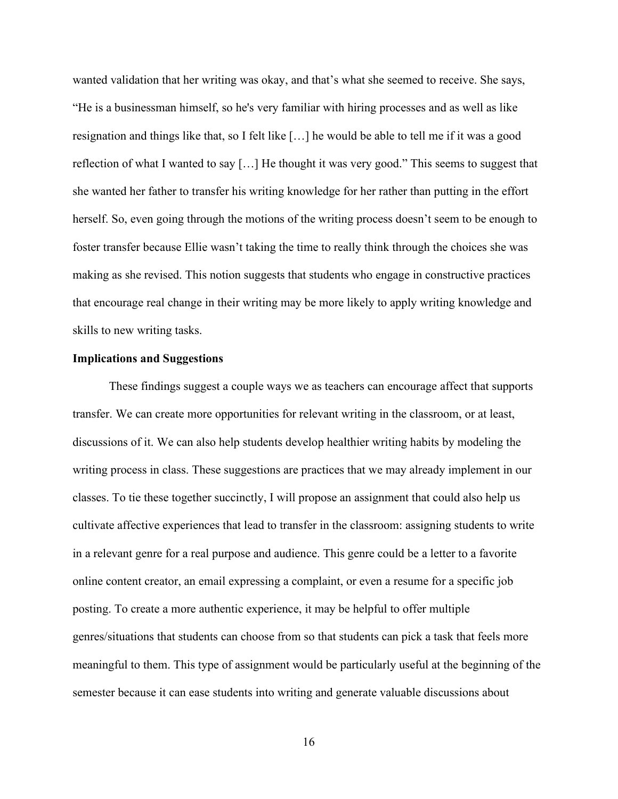wanted validation that her writing was okay, and that's what she seemed to receive. She says, "He is a businessman himself, so he's very familiar with hiring processes and as well as like resignation and things like that, so I felt like […] he would be able to tell me if it was a good reflection of what I wanted to say […] He thought it was very good." This seems to suggest that she wanted her father to transfer his writing knowledge for her rather than putting in the effort herself. So, even going through the motions of the writing process doesn't seem to be enough to foster transfer because Ellie wasn't taking the time to really think through the choices she was making as she revised. This notion suggests that students who engage in constructive practices that encourage real change in their writing may be more likely to apply writing knowledge and skills to new writing tasks.

### <span id="page-22-0"></span>**Implications and Suggestions**

These findings suggest a couple ways we as teachers can encourage affect that supports transfer. We can create more opportunities for relevant writing in the classroom, or at least, discussions of it. We can also help students develop healthier writing habits by modeling the writing process in class. These suggestions are practices that we may already implement in our classes. To tie these together succinctly, I will propose an assignment that could also help us cultivate affective experiences that lead to transfer in the classroom: assigning students to write in a relevant genre for a real purpose and audience. This genre could be a letter to a favorite online content creator, an email expressing a complaint, or even a resume for a specific job posting. To create a more authentic experience, it may be helpful to offer multiple genres/situations that students can choose from so that students can pick a task that feels more meaningful to them. This type of assignment would be particularly useful at the beginning of the semester because it can ease students into writing and generate valuable discussions about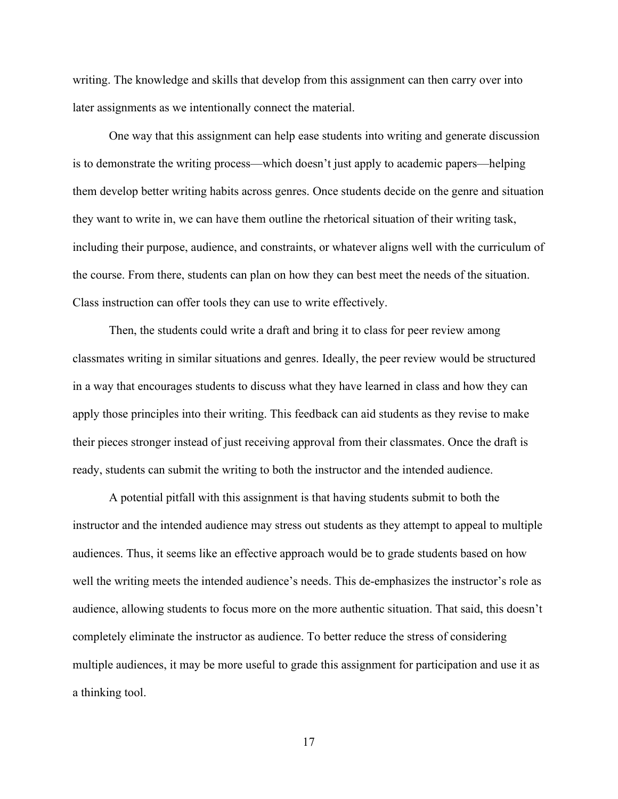writing. The knowledge and skills that develop from this assignment can then carry over into later assignments as we intentionally connect the material.

One way that this assignment can help ease students into writing and generate discussion is to demonstrate the writing process—which doesn't just apply to academic papers—helping them develop better writing habits across genres. Once students decide on the genre and situation they want to write in, we can have them outline the rhetorical situation of their writing task, including their purpose, audience, and constraints, or whatever aligns well with the curriculum of the course. From there, students can plan on how they can best meet the needs of the situation. Class instruction can offer tools they can use to write effectively.

Then, the students could write a draft and bring it to class for peer review among classmates writing in similar situations and genres. Ideally, the peer review would be structured in a way that encourages students to discuss what they have learned in class and how they can apply those principles into their writing. This feedback can aid students as they revise to make their pieces stronger instead of just receiving approval from their classmates. Once the draft is ready, students can submit the writing to both the instructor and the intended audience.

A potential pitfall with this assignment is that having students submit to both the instructor and the intended audience may stress out students as they attempt to appeal to multiple audiences. Thus, it seems like an effective approach would be to grade students based on how well the writing meets the intended audience's needs. This de-emphasizes the instructor's role as audience, allowing students to focus more on the more authentic situation. That said, this doesn't completely eliminate the instructor as audience. To better reduce the stress of considering multiple audiences, it may be more useful to grade this assignment for participation and use it as a thinking tool.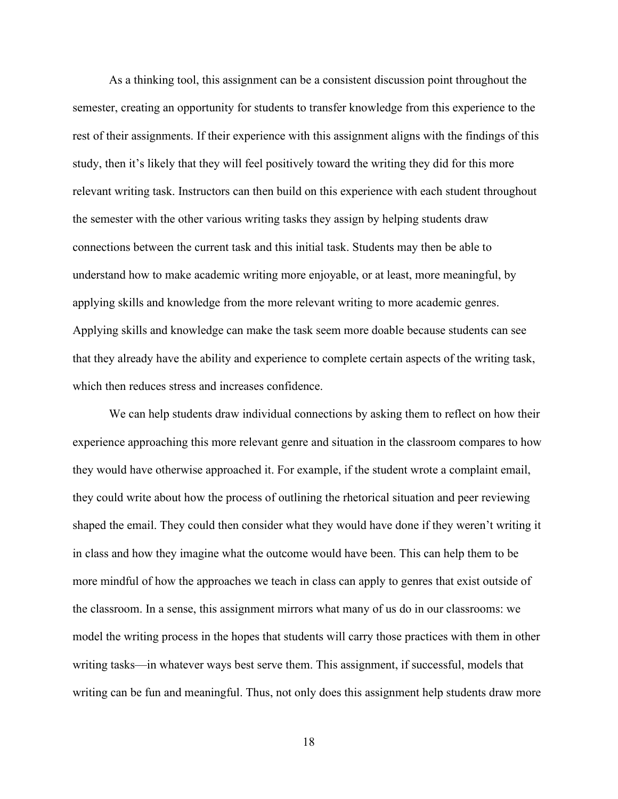As a thinking tool, this assignment can be a consistent discussion point throughout the semester, creating an opportunity for students to transfer knowledge from this experience to the rest of their assignments. If their experience with this assignment aligns with the findings of this study, then it's likely that they will feel positively toward the writing they did for this more relevant writing task. Instructors can then build on this experience with each student throughout the semester with the other various writing tasks they assign by helping students draw connections between the current task and this initial task. Students may then be able to understand how to make academic writing more enjoyable, or at least, more meaningful, by applying skills and knowledge from the more relevant writing to more academic genres. Applying skills and knowledge can make the task seem more doable because students can see that they already have the ability and experience to complete certain aspects of the writing task, which then reduces stress and increases confidence.

We can help students draw individual connections by asking them to reflect on how their experience approaching this more relevant genre and situation in the classroom compares to how they would have otherwise approached it. For example, if the student wrote a complaint email, they could write about how the process of outlining the rhetorical situation and peer reviewing shaped the email. They could then consider what they would have done if they weren't writing it in class and how they imagine what the outcome would have been. This can help them to be more mindful of how the approaches we teach in class can apply to genres that exist outside of the classroom. In a sense, this assignment mirrors what many of us do in our classrooms: we model the writing process in the hopes that students will carry those practices with them in other writing tasks—in whatever ways best serve them. This assignment, if successful, models that writing can be fun and meaningful. Thus, not only does this assignment help students draw more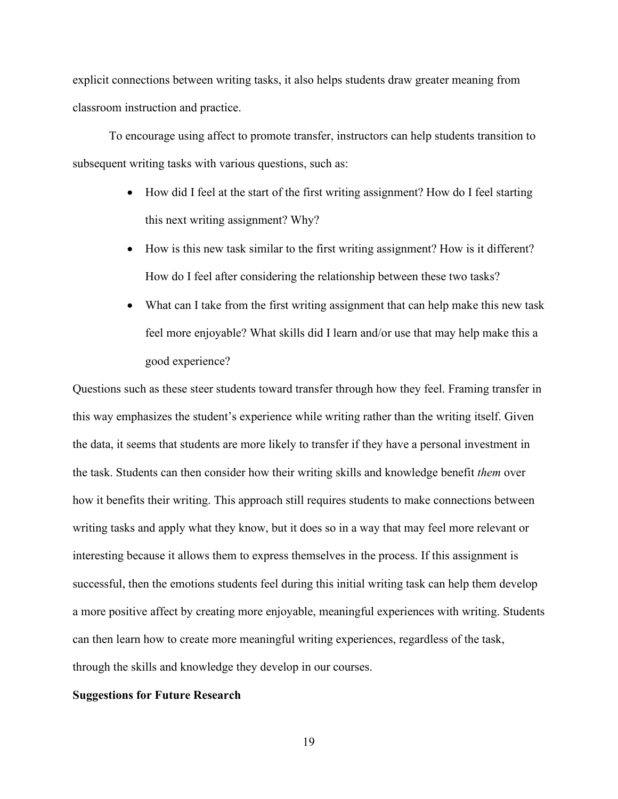explicit connections between writing tasks, it also helps students draw greater meaning from classroom instruction and practice.

To encourage using affect to promote transfer, instructors can help students transition to subsequent writing tasks with various questions, such as:

- How did I feel at the start of the first writing assignment? How do I feel starting this next writing assignment? Why?
- How is this new task similar to the first writing assignment? How is it different? How do I feel after considering the relationship between these two tasks?
- What can I take from the first writing assignment that can help make this new task feel more enjoyable? What skills did I learn and/or use that may help make this a good experience?

Questions such as these steer students toward transfer through how they feel. Framing transfer in this way emphasizes the student's experience while writing rather than the writing itself. Given the data, it seems that students are more likely to transfer if they have a personal investment in the task. Students can then consider how their writing skills and knowledge benefit *them* over how it benefits their writing. This approach still requires students to make connections between writing tasks and apply what they know, but it does so in a way that may feel more relevant or interesting because it allows them to express themselves in the process. If this assignment is successful, then the emotions students feel during this initial writing task can help them develop a more positive affect by creating more enjoyable, meaningful experiences with writing. Students can then learn how to create more meaningful writing experiences, regardless of the task, through the skills and knowledge they develop in our courses.

#### <span id="page-25-0"></span>**Suggestions for Future Research**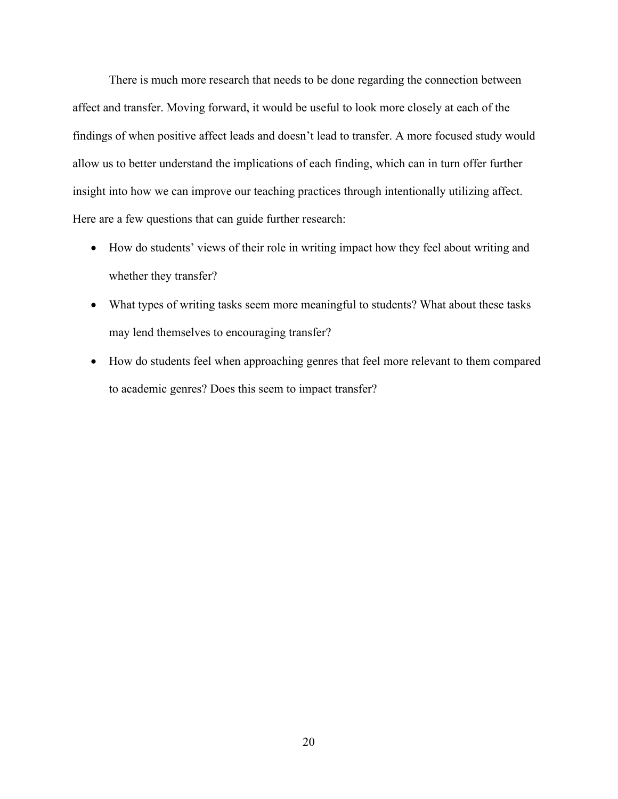There is much more research that needs to be done regarding the connection between affect and transfer. Moving forward, it would be useful to look more closely at each of the findings of when positive affect leads and doesn't lead to transfer. A more focused study would allow us to better understand the implications of each finding, which can in turn offer further insight into how we can improve our teaching practices through intentionally utilizing affect. Here are a few questions that can guide further research:

- How do students' views of their role in writing impact how they feel about writing and whether they transfer?
- What types of writing tasks seem more meaningful to students? What about these tasks may lend themselves to encouraging transfer?
- How do students feel when approaching genres that feel more relevant to them compared to academic genres? Does this seem to impact transfer?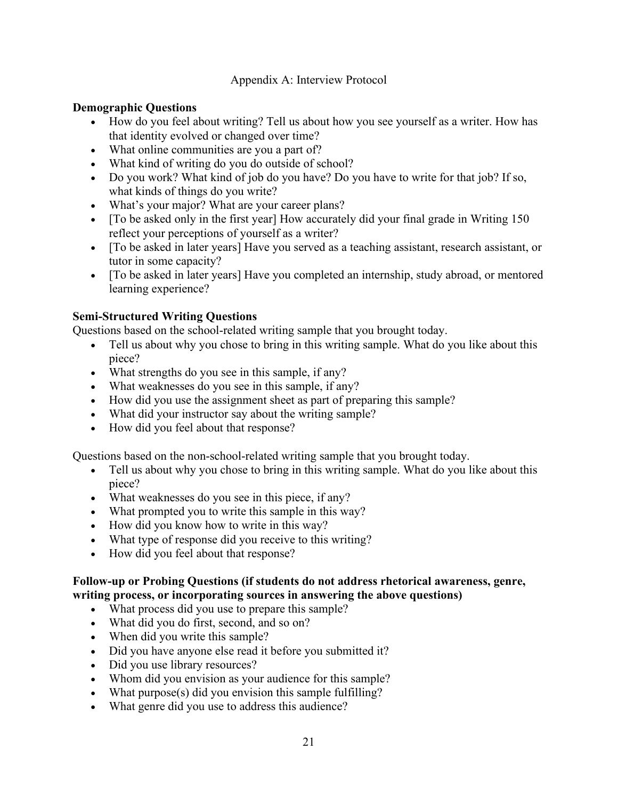Appendix A: Interview Protocol

# <span id="page-27-0"></span>**Demographic Questions**

- How do you feel about writing? Tell us about how you see yourself as a writer. How has that identity evolved or changed over time?
- What online communities are you a part of?
- What kind of writing do you do outside of school?
- Do you work? What kind of job do you have? Do you have to write for that job? If so, what kinds of things do you write?
- What's your major? What are your career plans?
- [To be asked only in the first year] How accurately did your final grade in Writing 150 reflect your perceptions of yourself as a writer?
- [To be asked in later years] Have you served as a teaching assistant, research assistant, or tutor in some capacity?
- [To be asked in later years] Have you completed an internship, study abroad, or mentored learning experience?

# **Semi-Structured Writing Questions**

Questions based on the school-related writing sample that you brought today.

- Tell us about why you chose to bring in this writing sample. What do you like about this piece?
- What strengths do you see in this sample, if any?
- What weaknesses do you see in this sample, if any?
- How did you use the assignment sheet as part of preparing this sample?
- What did your instructor say about the writing sample?
- How did you feel about that response?

Questions based on the non-school-related writing sample that you brought today.

- Tell us about why you chose to bring in this writing sample. What do you like about this piece?
- What weaknesses do you see in this piece, if any?
- What prompted you to write this sample in this way?
- How did you know how to write in this way?
- What type of response did you receive to this writing?
- How did you feel about that response?

# **Follow-up or Probing Questions (if students do not address rhetorical awareness, genre, writing process, or incorporating sources in answering the above questions)**

- What process did you use to prepare this sample?
- What did you do first, second, and so on?
- When did you write this sample?
- Did you have anyone else read it before you submitted it?
- Did you use library resources?
- Whom did you envision as your audience for this sample?
- What purpose(s) did you envision this sample fulfilling?
- What genre did you use to address this audience?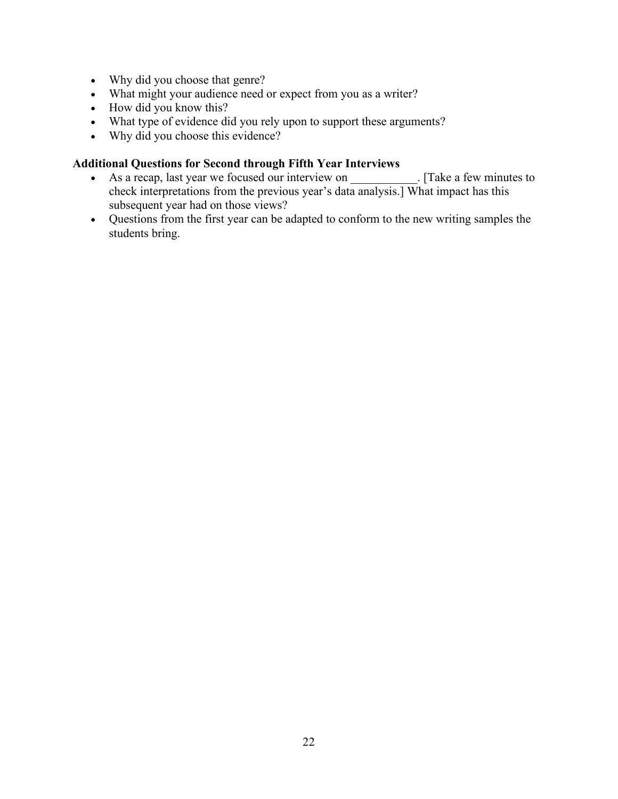- Why did you choose that genre?
- What might your audience need or expect from you as a writer?
- How did you know this?
- What type of evidence did you rely upon to support these arguments?
- Why did you choose this evidence?

# **Additional Questions for Second through Fifth Year Interviews**

- As a recap, last year we focused our interview on [Take a few minutes to check interpretations from the previous year's data analysis.] What impact has this subsequent year had on those views?
- Questions from the first year can be adapted to conform to the new writing samples the students bring.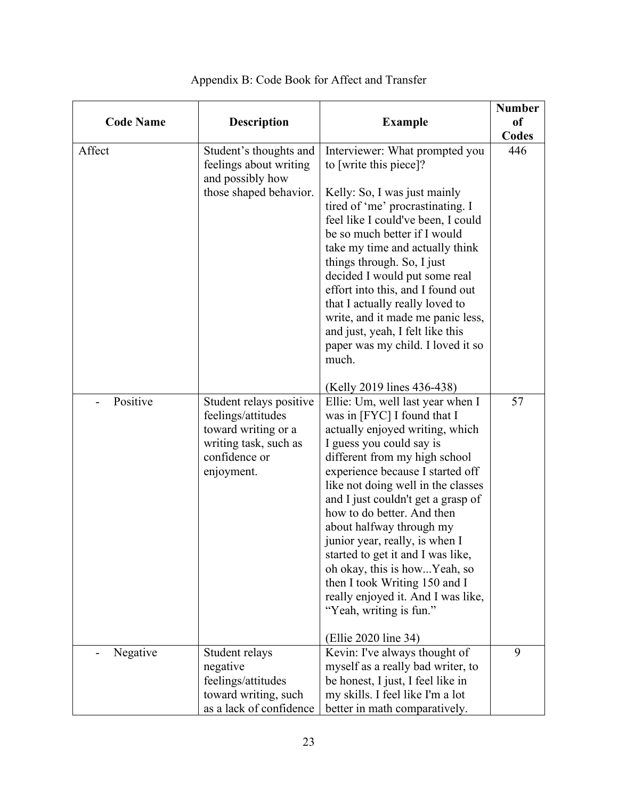<span id="page-29-0"></span>

| <b>Code Name</b> | <b>Description</b>                                                                                                           | <b>Example</b>                                                                                                                                                                                                                                                                                                                                                                                                                                                                                                                                                                                           | <b>Number</b><br><sub>of</sub><br>Codes |
|------------------|------------------------------------------------------------------------------------------------------------------------------|----------------------------------------------------------------------------------------------------------------------------------------------------------------------------------------------------------------------------------------------------------------------------------------------------------------------------------------------------------------------------------------------------------------------------------------------------------------------------------------------------------------------------------------------------------------------------------------------------------|-----------------------------------------|
| Affect           | Student's thoughts and<br>feelings about writing<br>and possibly how<br>those shaped behavior.                               | Interviewer: What prompted you<br>to [write this piece]?<br>Kelly: So, I was just mainly<br>tired of 'me' procrastinating. I<br>feel like I could've been, I could<br>be so much better if I would<br>take my time and actually think<br>things through. So, I just<br>decided I would put some real<br>effort into this, and I found out<br>that I actually really loved to<br>write, and it made me panic less,<br>and just, yeah, I felt like this<br>paper was my child. I loved it so<br>much.                                                                                                      | 446                                     |
| Positive         | Student relays positive<br>feelings/attitudes<br>toward writing or a<br>writing task, such as<br>confidence or<br>enjoyment. | (Kelly 2019 lines 436-438)<br>Ellie: Um, well last year when I<br>was in [FYC] I found that I<br>actually enjoyed writing, which<br>I guess you could say is<br>different from my high school<br>experience because I started off<br>like not doing well in the classes<br>and I just couldn't get a grasp of<br>how to do better. And then<br>about halfway through my<br>junior year, really, is when I<br>started to get it and I was like,<br>oh okay, this is howYeah, so<br>then I took Writing 150 and I<br>really enjoyed it. And I was like,<br>"Yeah, writing is fun."<br>(Ellie 2020 line 34) | 57                                      |
| Negative         | Student relays<br>negative<br>feelings/attitudes<br>toward writing, such<br>as a lack of confidence                          | Kevin: I've always thought of<br>myself as a really bad writer, to<br>be honest, I just, I feel like in<br>my skills. I feel like I'm a lot<br>better in math comparatively.                                                                                                                                                                                                                                                                                                                                                                                                                             | 9                                       |

# Appendix B: Code Book for Affect and Transfer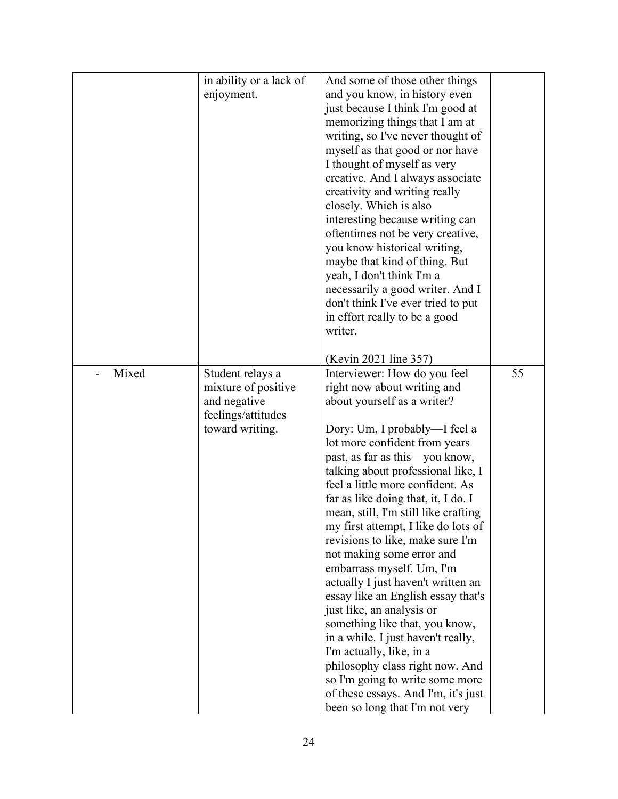|       | in ability or a lack of | And some of those other things       |    |
|-------|-------------------------|--------------------------------------|----|
|       | enjoyment.              | and you know, in history even        |    |
|       |                         | just because I think I'm good at     |    |
|       |                         | memorizing things that I am at       |    |
|       |                         | writing, so I've never thought of    |    |
|       |                         | myself as that good or nor have      |    |
|       |                         | I thought of myself as very          |    |
|       |                         | creative. And I always associate     |    |
|       |                         | creativity and writing really        |    |
|       |                         | closely. Which is also               |    |
|       |                         | interesting because writing can      |    |
|       |                         | oftentimes not be very creative,     |    |
|       |                         | you know historical writing,         |    |
|       |                         | maybe that kind of thing. But        |    |
|       |                         | yeah, I don't think I'm a            |    |
|       |                         | necessarily a good writer. And I     |    |
|       |                         | don't think I've ever tried to put   |    |
|       |                         | in effort really to be a good        |    |
|       |                         | writer.                              |    |
|       |                         | (Kevin 2021 line 357)                |    |
| Mixed | Student relays a        | Interviewer: How do you feel         | 55 |
|       | mixture of positive     | right now about writing and          |    |
|       | and negative            | about yourself as a writer?          |    |
|       | feelings/attitudes      |                                      |    |
|       | toward writing.         | Dory: Um, I probably—I feel a        |    |
|       |                         | lot more confident from years        |    |
|       |                         | past, as far as this—you know,       |    |
|       |                         | talking about professional like, I   |    |
|       |                         | feel a little more confident. As     |    |
|       |                         | far as like doing that, it, I do. I  |    |
|       |                         | mean, still, I'm still like crafting |    |
|       |                         | my first attempt, I like do lots of  |    |
|       |                         | revisions to like, make sure I'm     |    |
|       |                         | not making some error and            |    |
|       |                         | embarrass myself. Um, I'm            |    |
|       |                         | actually I just haven't written an   |    |
|       |                         | essay like an English essay that's   |    |
|       |                         | just like, an analysis or            |    |
|       |                         | something like that, you know,       |    |
|       |                         | in a while. I just haven't really,   |    |
|       |                         | I'm actually, like, in a             |    |
|       |                         | philosophy class right now. And      |    |
|       |                         | so I'm going to write some more      |    |
|       |                         | of these essays. And I'm, it's just  |    |
|       |                         | been so long that I'm not very       |    |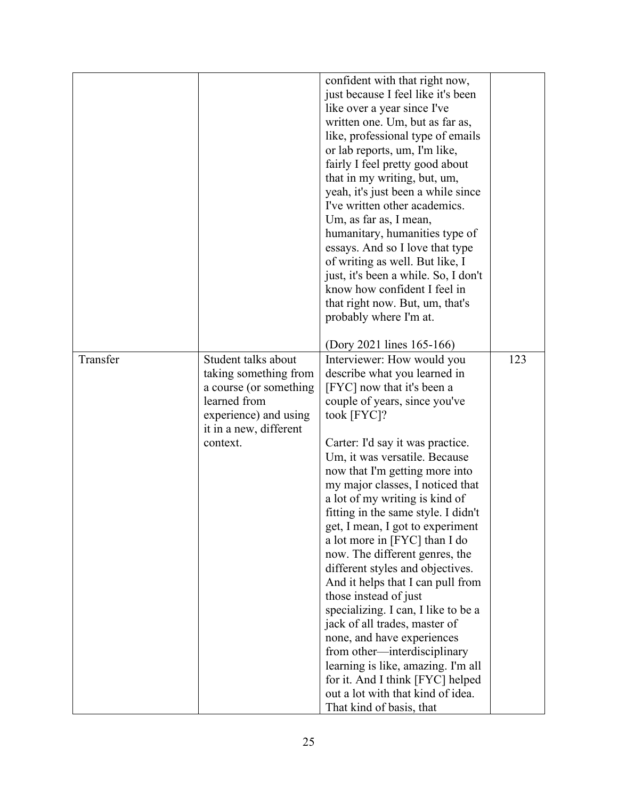|          |                        | confident with that right now,       |     |
|----------|------------------------|--------------------------------------|-----|
|          |                        | just because I feel like it's been   |     |
|          |                        | like over a year since I've          |     |
|          |                        | written one. Um, but as far as,      |     |
|          |                        | like, professional type of emails    |     |
|          |                        | or lab reports, um, I'm like,        |     |
|          |                        | fairly I feel pretty good about      |     |
|          |                        | that in my writing, but, um,         |     |
|          |                        | yeah, it's just been a while since   |     |
|          |                        | I've written other academics.        |     |
|          |                        | Um, as far as, I mean,               |     |
|          |                        | humanitary, humanities type of       |     |
|          |                        | essays. And so I love that type      |     |
|          |                        | of writing as well. But like, I      |     |
|          |                        | just, it's been a while. So, I don't |     |
|          |                        | know how confident I feel in         |     |
|          |                        | that right now. But, um, that's      |     |
|          |                        | probably where I'm at.               |     |
|          |                        |                                      |     |
|          |                        | (Dory 2021 lines 165-166)            |     |
| Transfer | Student talks about    | Interviewer: How would you           | 123 |
|          | taking something from  | describe what you learned in         |     |
|          | a course (or something | [FYC] now that it's been a           |     |
|          | learned from           | couple of years, since you've        |     |
|          | experience) and using  | took [FYC]?                          |     |
|          | it in a new, different |                                      |     |
|          | context.               | Carter: I'd say it was practice.     |     |
|          |                        | Um, it was versatile. Because        |     |
|          |                        | now that I'm getting more into       |     |
|          |                        | my major classes, I noticed that     |     |
|          |                        | a lot of my writing is kind of       |     |
|          |                        | fitting in the same style. I didn't  |     |
|          |                        | get, I mean, I got to experiment     |     |
|          |                        | a lot more in [FYC] than I do        |     |
|          |                        | now. The different genres, the       |     |
|          |                        | different styles and objectives.     |     |
|          |                        | And it helps that I can pull from    |     |
|          |                        | those instead of just                |     |
|          |                        | specializing. I can, I like to be a  |     |
|          |                        | jack of all trades, master of        |     |
|          |                        | none, and have experiences           |     |
|          |                        | from other-interdisciplinary         |     |
|          |                        | learning is like, amazing. I'm all   |     |
|          |                        | for it. And I think [FYC] helped     |     |
|          |                        | out a lot with that kind of idea.    |     |
|          |                        | That kind of basis, that             |     |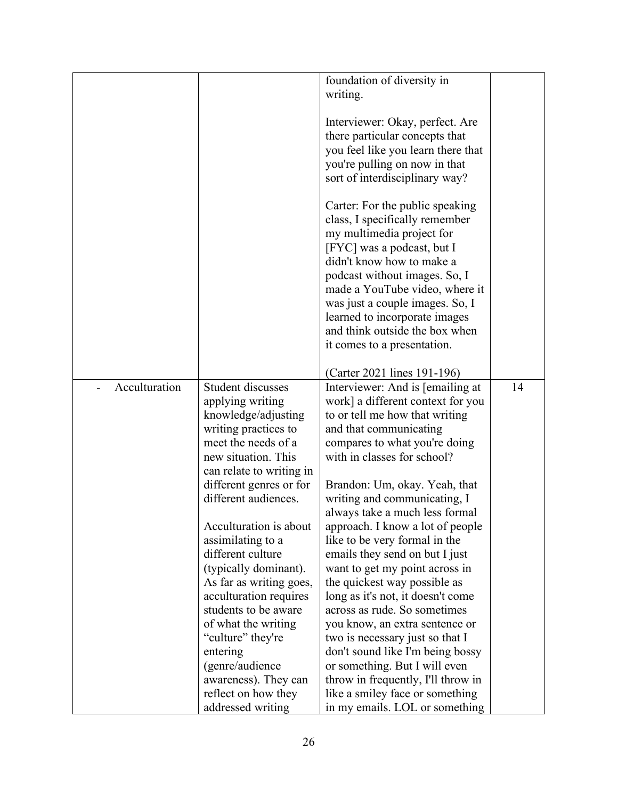|               |                          | foundation of diversity in         |    |
|---------------|--------------------------|------------------------------------|----|
|               |                          | writing.                           |    |
|               |                          |                                    |    |
|               |                          | Interviewer: Okay, perfect. Are    |    |
|               |                          |                                    |    |
|               |                          | there particular concepts that     |    |
|               |                          | you feel like you learn there that |    |
|               |                          | you're pulling on now in that      |    |
|               |                          | sort of interdisciplinary way?     |    |
|               |                          | Carter: For the public speaking    |    |
|               |                          | class, I specifically remember     |    |
|               |                          |                                    |    |
|               |                          | my multimedia project for          |    |
|               |                          | [FYC] was a podcast, but I         |    |
|               |                          | didn't know how to make a          |    |
|               |                          | podcast without images. So, I      |    |
|               |                          | made a YouTube video, where it     |    |
|               |                          | was just a couple images. So, I    |    |
|               |                          | learned to incorporate images      |    |
|               |                          | and think outside the box when     |    |
|               |                          | it comes to a presentation.        |    |
|               |                          |                                    |    |
|               |                          | (Carter 2021 lines 191-196)        |    |
| Acculturation | <b>Student discusses</b> | Interviewer: And is [emailing at   | 14 |
|               | applying writing         | work] a different context for you  |    |
|               | knowledge/adjusting      | to or tell me how that writing     |    |
|               | writing practices to     | and that communicating             |    |
|               | meet the needs of a      | compares to what you're doing      |    |
|               | new situation. This      | with in classes for school?        |    |
|               | can relate to writing in |                                    |    |
|               | different genres or for  | Brandon: Um, okay. Yeah, that      |    |
|               | different audiences.     | writing and communicating, I       |    |
|               |                          | always take a much less formal     |    |
|               | Acculturation is about   | approach. I know a lot of people   |    |
|               | assimilating to a        | like to be very formal in the      |    |
|               | different culture        | emails they send on but I just     |    |
|               | (typically dominant).    | want to get my point across in     |    |
|               | As far as writing goes,  | the quickest way possible as       |    |
|               | acculturation requires   | long as it's not, it doesn't come  |    |
|               | students to be aware     | across as rude. So sometimes       |    |
|               |                          |                                    |    |
|               | of what the writing      | you know, an extra sentence or     |    |
|               | "culture" they're        | two is necessary just so that I    |    |
|               | entering                 | don't sound like I'm being bossy   |    |
|               | (genre/audience          | or something. But I will even      |    |
|               | awareness). They can     | throw in frequently, I'll throw in |    |
|               | reflect on how they      | like a smiley face or something    |    |
|               | addressed writing        | in my emails. LOL or something     |    |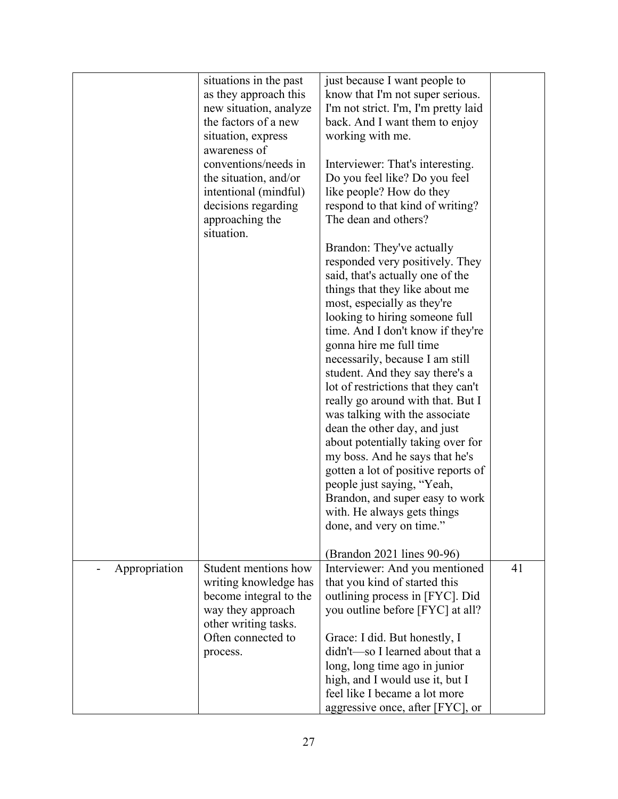|               | situations in the past        | just because I want people to        |    |
|---------------|-------------------------------|--------------------------------------|----|
|               | as they approach this         | know that I'm not super serious.     |    |
|               | new situation, analyze        | I'm not strict. I'm, I'm pretty laid |    |
|               | the factors of a new          | back. And I want them to enjoy       |    |
|               | situation, express            | working with me.                     |    |
|               | awareness of                  |                                      |    |
|               | conventions/needs in          | Interviewer: That's interesting.     |    |
|               | the situation, and/or         | Do you feel like? Do you feel        |    |
|               | intentional (mindful)         | like people? How do they             |    |
|               | decisions regarding           | respond to that kind of writing?     |    |
|               | approaching the<br>situation. | The dean and others?                 |    |
|               |                               | Brandon: They've actually            |    |
|               |                               | responded very positively. They      |    |
|               |                               | said, that's actually one of the     |    |
|               |                               | things that they like about me       |    |
|               |                               | most, especially as they're          |    |
|               |                               | looking to hiring someone full       |    |
|               |                               | time. And I don't know if they're    |    |
|               |                               | gonna hire me full time              |    |
|               |                               | necessarily, because I am still      |    |
|               |                               | student. And they say there's a      |    |
|               |                               | lot of restrictions that they can't  |    |
|               |                               | really go around with that. But I    |    |
|               |                               | was talking with the associate       |    |
|               |                               | dean the other day, and just         |    |
|               |                               | about potentially taking over for    |    |
|               |                               | my boss. And he says that he's       |    |
|               |                               | gotten a lot of positive reports of  |    |
|               |                               | people just saying, "Yeah,           |    |
|               |                               | Brandon, and super easy to work      |    |
|               |                               | with. He always gets things          |    |
|               |                               | done, and very on time."             |    |
|               |                               |                                      |    |
|               |                               | (Brandon 2021 lines 90-96)           |    |
| Appropriation | Student mentions how          | Interviewer: And you mentioned       | 41 |
|               | writing knowledge has         | that you kind of started this        |    |
|               | become integral to the        | outlining process in [FYC]. Did      |    |
|               | way they approach             | you outline before [FYC] at all?     |    |
|               | other writing tasks.          |                                      |    |
|               | Often connected to            | Grace: I did. But honestly, I        |    |
|               | process.                      | didn't-so I learned about that a     |    |
|               |                               | long, long time ago in junior        |    |
|               |                               | high, and I would use it, but I      |    |
|               |                               | feel like I became a lot more        |    |
|               |                               | aggressive once, after [FYC], or     |    |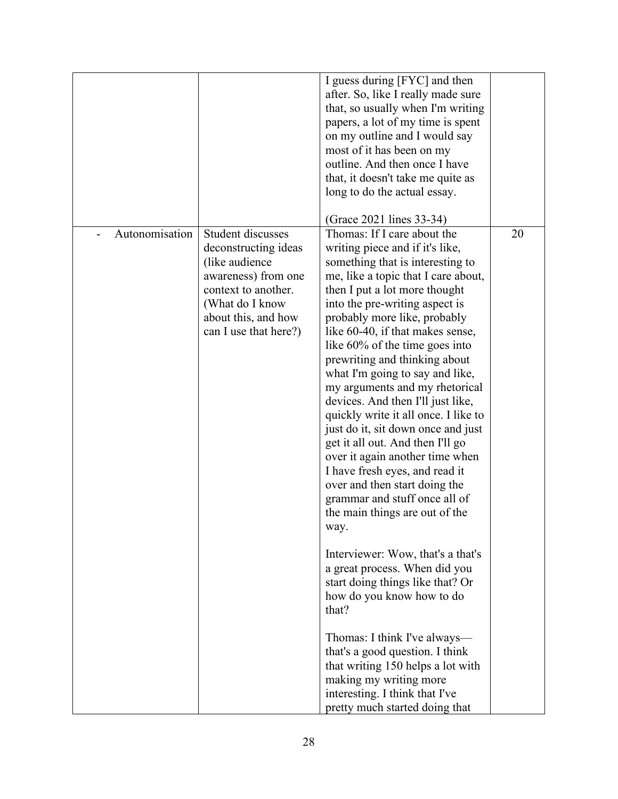|                |                                                                                                                                                                               | I guess during [FYC] and then<br>after. So, like I really made sure<br>that, so usually when I'm writing<br>papers, a lot of my time is spent<br>on my outline and I would say<br>most of it has been on my<br>outline. And then once I have<br>that, it doesn't take me quite as<br>long to do the actual essay.                                                                                                                                                                                                                                                                                                                                                                                                                                                                                                                                                                                                                                                                                                                                                                                                                                  |    |
|----------------|-------------------------------------------------------------------------------------------------------------------------------------------------------------------------------|----------------------------------------------------------------------------------------------------------------------------------------------------------------------------------------------------------------------------------------------------------------------------------------------------------------------------------------------------------------------------------------------------------------------------------------------------------------------------------------------------------------------------------------------------------------------------------------------------------------------------------------------------------------------------------------------------------------------------------------------------------------------------------------------------------------------------------------------------------------------------------------------------------------------------------------------------------------------------------------------------------------------------------------------------------------------------------------------------------------------------------------------------|----|
| Autonomisation | Student discusses<br>deconstructing ideas<br>(like audience)<br>awareness) from one<br>context to another.<br>(What do I know<br>about this, and how<br>can I use that here?) | (Grace 2021 lines 33-34)<br>Thomas: If I care about the<br>writing piece and if it's like,<br>something that is interesting to<br>me, like a topic that I care about,<br>then I put a lot more thought<br>into the pre-writing aspect is<br>probably more like, probably<br>like 60-40, if that makes sense,<br>like 60% of the time goes into<br>prewriting and thinking about<br>what I'm going to say and like,<br>my arguments and my rhetorical<br>devices. And then I'll just like,<br>quickly write it all once. I like to<br>just do it, sit down once and just<br>get it all out. And then I'll go<br>over it again another time when<br>I have fresh eyes, and read it<br>over and then start doing the<br>grammar and stuff once all of<br>the main things are out of the<br>way.<br>Interviewer: Wow, that's a that's<br>a great process. When did you<br>start doing things like that? Or<br>how do you know how to do<br>that?<br>Thomas: I think I've always—<br>that's a good question. I think<br>that writing 150 helps a lot with<br>making my writing more<br>interesting. I think that I've<br>pretty much started doing that | 20 |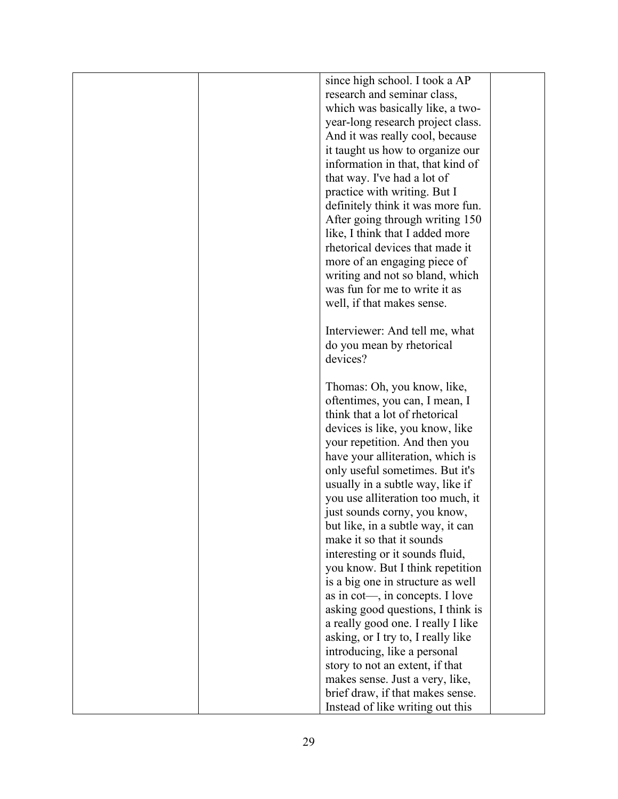| research and seminar class,<br>which was basically like, a two-<br>year-long research project class.<br>And it was really cool, because<br>it taught us how to organize our<br>information in that, that kind of<br>that way. I've had a lot of<br>practice with writing. But I<br>definitely think it was more fun.<br>After going through writing 150<br>like, I think that I added more<br>rhetorical devices that made it<br>more of an engaging piece of<br>writing and not so bland, which<br>was fun for me to write it as<br>well, if that makes sense.<br>Interviewer: And tell me, what<br>do you mean by rhetorical<br>devices?<br>Thomas: Oh, you know, like,<br>oftentimes, you can, I mean, I<br>think that a lot of rhetorical<br>devices is like, you know, like<br>your repetition. And then you<br>have your alliteration, which is<br>only useful sometimes. But it's<br>usually in a subtle way, like if<br>you use alliteration too much, it<br>just sounds corny, you know,<br>but like, in a subtle way, it can<br>make it so that it sounds<br>interesting or it sounds fluid,<br>you know. But I think repetition<br>is a big one in structure as well<br>as in cot—, in concepts. I love<br>asking good questions, I think is<br>a really good one. I really I like<br>asking, or I try to, I really like<br>introducing, like a personal<br>story to not an extent, if that<br>makes sense. Just a very, like,<br>brief draw, if that makes sense.<br>Instead of like writing out this |  |                                |  |
|-------------------------------------------------------------------------------------------------------------------------------------------------------------------------------------------------------------------------------------------------------------------------------------------------------------------------------------------------------------------------------------------------------------------------------------------------------------------------------------------------------------------------------------------------------------------------------------------------------------------------------------------------------------------------------------------------------------------------------------------------------------------------------------------------------------------------------------------------------------------------------------------------------------------------------------------------------------------------------------------------------------------------------------------------------------------------------------------------------------------------------------------------------------------------------------------------------------------------------------------------------------------------------------------------------------------------------------------------------------------------------------------------------------------------------------------------------------------------------------------------------------------|--|--------------------------------|--|
|                                                                                                                                                                                                                                                                                                                                                                                                                                                                                                                                                                                                                                                                                                                                                                                                                                                                                                                                                                                                                                                                                                                                                                                                                                                                                                                                                                                                                                                                                                                   |  | since high school. I took a AP |  |
|                                                                                                                                                                                                                                                                                                                                                                                                                                                                                                                                                                                                                                                                                                                                                                                                                                                                                                                                                                                                                                                                                                                                                                                                                                                                                                                                                                                                                                                                                                                   |  |                                |  |
|                                                                                                                                                                                                                                                                                                                                                                                                                                                                                                                                                                                                                                                                                                                                                                                                                                                                                                                                                                                                                                                                                                                                                                                                                                                                                                                                                                                                                                                                                                                   |  |                                |  |
|                                                                                                                                                                                                                                                                                                                                                                                                                                                                                                                                                                                                                                                                                                                                                                                                                                                                                                                                                                                                                                                                                                                                                                                                                                                                                                                                                                                                                                                                                                                   |  |                                |  |
|                                                                                                                                                                                                                                                                                                                                                                                                                                                                                                                                                                                                                                                                                                                                                                                                                                                                                                                                                                                                                                                                                                                                                                                                                                                                                                                                                                                                                                                                                                                   |  |                                |  |
|                                                                                                                                                                                                                                                                                                                                                                                                                                                                                                                                                                                                                                                                                                                                                                                                                                                                                                                                                                                                                                                                                                                                                                                                                                                                                                                                                                                                                                                                                                                   |  |                                |  |
|                                                                                                                                                                                                                                                                                                                                                                                                                                                                                                                                                                                                                                                                                                                                                                                                                                                                                                                                                                                                                                                                                                                                                                                                                                                                                                                                                                                                                                                                                                                   |  |                                |  |
|                                                                                                                                                                                                                                                                                                                                                                                                                                                                                                                                                                                                                                                                                                                                                                                                                                                                                                                                                                                                                                                                                                                                                                                                                                                                                                                                                                                                                                                                                                                   |  |                                |  |
|                                                                                                                                                                                                                                                                                                                                                                                                                                                                                                                                                                                                                                                                                                                                                                                                                                                                                                                                                                                                                                                                                                                                                                                                                                                                                                                                                                                                                                                                                                                   |  |                                |  |
|                                                                                                                                                                                                                                                                                                                                                                                                                                                                                                                                                                                                                                                                                                                                                                                                                                                                                                                                                                                                                                                                                                                                                                                                                                                                                                                                                                                                                                                                                                                   |  |                                |  |
|                                                                                                                                                                                                                                                                                                                                                                                                                                                                                                                                                                                                                                                                                                                                                                                                                                                                                                                                                                                                                                                                                                                                                                                                                                                                                                                                                                                                                                                                                                                   |  |                                |  |
|                                                                                                                                                                                                                                                                                                                                                                                                                                                                                                                                                                                                                                                                                                                                                                                                                                                                                                                                                                                                                                                                                                                                                                                                                                                                                                                                                                                                                                                                                                                   |  |                                |  |
|                                                                                                                                                                                                                                                                                                                                                                                                                                                                                                                                                                                                                                                                                                                                                                                                                                                                                                                                                                                                                                                                                                                                                                                                                                                                                                                                                                                                                                                                                                                   |  |                                |  |
|                                                                                                                                                                                                                                                                                                                                                                                                                                                                                                                                                                                                                                                                                                                                                                                                                                                                                                                                                                                                                                                                                                                                                                                                                                                                                                                                                                                                                                                                                                                   |  |                                |  |
|                                                                                                                                                                                                                                                                                                                                                                                                                                                                                                                                                                                                                                                                                                                                                                                                                                                                                                                                                                                                                                                                                                                                                                                                                                                                                                                                                                                                                                                                                                                   |  |                                |  |
|                                                                                                                                                                                                                                                                                                                                                                                                                                                                                                                                                                                                                                                                                                                                                                                                                                                                                                                                                                                                                                                                                                                                                                                                                                                                                                                                                                                                                                                                                                                   |  |                                |  |
|                                                                                                                                                                                                                                                                                                                                                                                                                                                                                                                                                                                                                                                                                                                                                                                                                                                                                                                                                                                                                                                                                                                                                                                                                                                                                                                                                                                                                                                                                                                   |  |                                |  |
|                                                                                                                                                                                                                                                                                                                                                                                                                                                                                                                                                                                                                                                                                                                                                                                                                                                                                                                                                                                                                                                                                                                                                                                                                                                                                                                                                                                                                                                                                                                   |  |                                |  |
|                                                                                                                                                                                                                                                                                                                                                                                                                                                                                                                                                                                                                                                                                                                                                                                                                                                                                                                                                                                                                                                                                                                                                                                                                                                                                                                                                                                                                                                                                                                   |  |                                |  |
|                                                                                                                                                                                                                                                                                                                                                                                                                                                                                                                                                                                                                                                                                                                                                                                                                                                                                                                                                                                                                                                                                                                                                                                                                                                                                                                                                                                                                                                                                                                   |  |                                |  |
|                                                                                                                                                                                                                                                                                                                                                                                                                                                                                                                                                                                                                                                                                                                                                                                                                                                                                                                                                                                                                                                                                                                                                                                                                                                                                                                                                                                                                                                                                                                   |  |                                |  |
|                                                                                                                                                                                                                                                                                                                                                                                                                                                                                                                                                                                                                                                                                                                                                                                                                                                                                                                                                                                                                                                                                                                                                                                                                                                                                                                                                                                                                                                                                                                   |  |                                |  |
|                                                                                                                                                                                                                                                                                                                                                                                                                                                                                                                                                                                                                                                                                                                                                                                                                                                                                                                                                                                                                                                                                                                                                                                                                                                                                                                                                                                                                                                                                                                   |  |                                |  |
|                                                                                                                                                                                                                                                                                                                                                                                                                                                                                                                                                                                                                                                                                                                                                                                                                                                                                                                                                                                                                                                                                                                                                                                                                                                                                                                                                                                                                                                                                                                   |  |                                |  |
|                                                                                                                                                                                                                                                                                                                                                                                                                                                                                                                                                                                                                                                                                                                                                                                                                                                                                                                                                                                                                                                                                                                                                                                                                                                                                                                                                                                                                                                                                                                   |  |                                |  |
|                                                                                                                                                                                                                                                                                                                                                                                                                                                                                                                                                                                                                                                                                                                                                                                                                                                                                                                                                                                                                                                                                                                                                                                                                                                                                                                                                                                                                                                                                                                   |  |                                |  |
|                                                                                                                                                                                                                                                                                                                                                                                                                                                                                                                                                                                                                                                                                                                                                                                                                                                                                                                                                                                                                                                                                                                                                                                                                                                                                                                                                                                                                                                                                                                   |  |                                |  |
|                                                                                                                                                                                                                                                                                                                                                                                                                                                                                                                                                                                                                                                                                                                                                                                                                                                                                                                                                                                                                                                                                                                                                                                                                                                                                                                                                                                                                                                                                                                   |  |                                |  |
|                                                                                                                                                                                                                                                                                                                                                                                                                                                                                                                                                                                                                                                                                                                                                                                                                                                                                                                                                                                                                                                                                                                                                                                                                                                                                                                                                                                                                                                                                                                   |  |                                |  |
|                                                                                                                                                                                                                                                                                                                                                                                                                                                                                                                                                                                                                                                                                                                                                                                                                                                                                                                                                                                                                                                                                                                                                                                                                                                                                                                                                                                                                                                                                                                   |  |                                |  |
|                                                                                                                                                                                                                                                                                                                                                                                                                                                                                                                                                                                                                                                                                                                                                                                                                                                                                                                                                                                                                                                                                                                                                                                                                                                                                                                                                                                                                                                                                                                   |  |                                |  |
|                                                                                                                                                                                                                                                                                                                                                                                                                                                                                                                                                                                                                                                                                                                                                                                                                                                                                                                                                                                                                                                                                                                                                                                                                                                                                                                                                                                                                                                                                                                   |  |                                |  |
|                                                                                                                                                                                                                                                                                                                                                                                                                                                                                                                                                                                                                                                                                                                                                                                                                                                                                                                                                                                                                                                                                                                                                                                                                                                                                                                                                                                                                                                                                                                   |  |                                |  |
|                                                                                                                                                                                                                                                                                                                                                                                                                                                                                                                                                                                                                                                                                                                                                                                                                                                                                                                                                                                                                                                                                                                                                                                                                                                                                                                                                                                                                                                                                                                   |  |                                |  |
|                                                                                                                                                                                                                                                                                                                                                                                                                                                                                                                                                                                                                                                                                                                                                                                                                                                                                                                                                                                                                                                                                                                                                                                                                                                                                                                                                                                                                                                                                                                   |  |                                |  |
|                                                                                                                                                                                                                                                                                                                                                                                                                                                                                                                                                                                                                                                                                                                                                                                                                                                                                                                                                                                                                                                                                                                                                                                                                                                                                                                                                                                                                                                                                                                   |  |                                |  |
|                                                                                                                                                                                                                                                                                                                                                                                                                                                                                                                                                                                                                                                                                                                                                                                                                                                                                                                                                                                                                                                                                                                                                                                                                                                                                                                                                                                                                                                                                                                   |  |                                |  |
|                                                                                                                                                                                                                                                                                                                                                                                                                                                                                                                                                                                                                                                                                                                                                                                                                                                                                                                                                                                                                                                                                                                                                                                                                                                                                                                                                                                                                                                                                                                   |  |                                |  |
|                                                                                                                                                                                                                                                                                                                                                                                                                                                                                                                                                                                                                                                                                                                                                                                                                                                                                                                                                                                                                                                                                                                                                                                                                                                                                                                                                                                                                                                                                                                   |  |                                |  |
|                                                                                                                                                                                                                                                                                                                                                                                                                                                                                                                                                                                                                                                                                                                                                                                                                                                                                                                                                                                                                                                                                                                                                                                                                                                                                                                                                                                                                                                                                                                   |  |                                |  |
|                                                                                                                                                                                                                                                                                                                                                                                                                                                                                                                                                                                                                                                                                                                                                                                                                                                                                                                                                                                                                                                                                                                                                                                                                                                                                                                                                                                                                                                                                                                   |  |                                |  |
|                                                                                                                                                                                                                                                                                                                                                                                                                                                                                                                                                                                                                                                                                                                                                                                                                                                                                                                                                                                                                                                                                                                                                                                                                                                                                                                                                                                                                                                                                                                   |  |                                |  |
|                                                                                                                                                                                                                                                                                                                                                                                                                                                                                                                                                                                                                                                                                                                                                                                                                                                                                                                                                                                                                                                                                                                                                                                                                                                                                                                                                                                                                                                                                                                   |  |                                |  |
|                                                                                                                                                                                                                                                                                                                                                                                                                                                                                                                                                                                                                                                                                                                                                                                                                                                                                                                                                                                                                                                                                                                                                                                                                                                                                                                                                                                                                                                                                                                   |  |                                |  |
|                                                                                                                                                                                                                                                                                                                                                                                                                                                                                                                                                                                                                                                                                                                                                                                                                                                                                                                                                                                                                                                                                                                                                                                                                                                                                                                                                                                                                                                                                                                   |  |                                |  |
|                                                                                                                                                                                                                                                                                                                                                                                                                                                                                                                                                                                                                                                                                                                                                                                                                                                                                                                                                                                                                                                                                                                                                                                                                                                                                                                                                                                                                                                                                                                   |  |                                |  |
|                                                                                                                                                                                                                                                                                                                                                                                                                                                                                                                                                                                                                                                                                                                                                                                                                                                                                                                                                                                                                                                                                                                                                                                                                                                                                                                                                                                                                                                                                                                   |  |                                |  |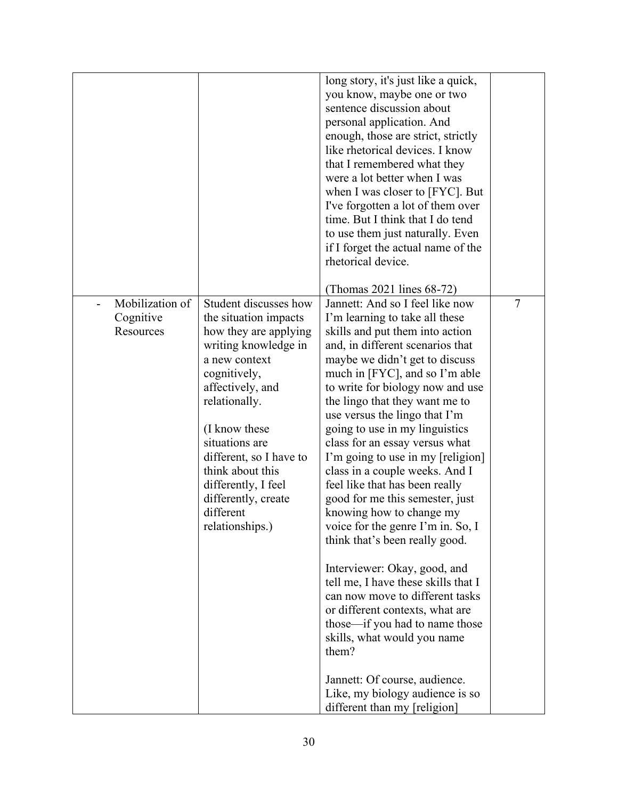|                 |                         | long story, it's just like a quick, |                |
|-----------------|-------------------------|-------------------------------------|----------------|
|                 |                         | you know, maybe one or two          |                |
|                 |                         | sentence discussion about           |                |
|                 |                         | personal application. And           |                |
|                 |                         | enough, those are strict, strictly  |                |
|                 |                         | like rhetorical devices. I know     |                |
|                 |                         | that I remembered what they         |                |
|                 |                         | were a lot better when I was        |                |
|                 |                         | when I was closer to [FYC]. But     |                |
|                 |                         | I've forgotten a lot of them over   |                |
|                 |                         | time. But I think that I do tend    |                |
|                 |                         | to use them just naturally. Even    |                |
|                 |                         | if I forget the actual name of the  |                |
|                 |                         | rhetorical device.                  |                |
|                 |                         |                                     |                |
|                 |                         | (Thomas 2021 lines 68-72)           |                |
| Mobilization of | Student discusses how   | Jannett: And so I feel like now     | $\overline{7}$ |
| Cognitive       | the situation impacts   | I'm learning to take all these      |                |
| Resources       | how they are applying   | skills and put them into action     |                |
|                 | writing knowledge in    | and, in different scenarios that    |                |
|                 | a new context           | maybe we didn't get to discuss      |                |
|                 | cognitively,            | much in [FYC], and so I'm able      |                |
|                 | affectively, and        | to write for biology now and use    |                |
|                 | relationally.           | the lingo that they want me to      |                |
|                 |                         | use versus the lingo that I'm       |                |
|                 | (I know these           | going to use in my linguistics      |                |
|                 | situations are          | class for an essay versus what      |                |
|                 | different, so I have to | I'm going to use in my [religion]   |                |
|                 | think about this        | class in a couple weeks. And I      |                |
|                 | differently, I feel     | feel like that has been really      |                |
|                 | differently, create     | good for me this semester, just     |                |
|                 | different               | knowing how to change my            |                |
|                 | relationships.)         | voice for the genre I'm in. So, I   |                |
|                 |                         | think that's been really good.      |                |
|                 |                         |                                     |                |
|                 |                         | Interviewer: Okay, good, and        |                |
|                 |                         | tell me, I have these skills that I |                |
|                 |                         | can now move to different tasks     |                |
|                 |                         | or different contexts, what are     |                |
|                 |                         | those—if you had to name those      |                |
|                 |                         | skills, what would you name         |                |
|                 |                         | them?                               |                |
|                 |                         |                                     |                |
|                 |                         | Jannett: Of course, audience.       |                |
|                 |                         | Like, my biology audience is so     |                |
|                 |                         | different than my [religion]        |                |
|                 |                         |                                     |                |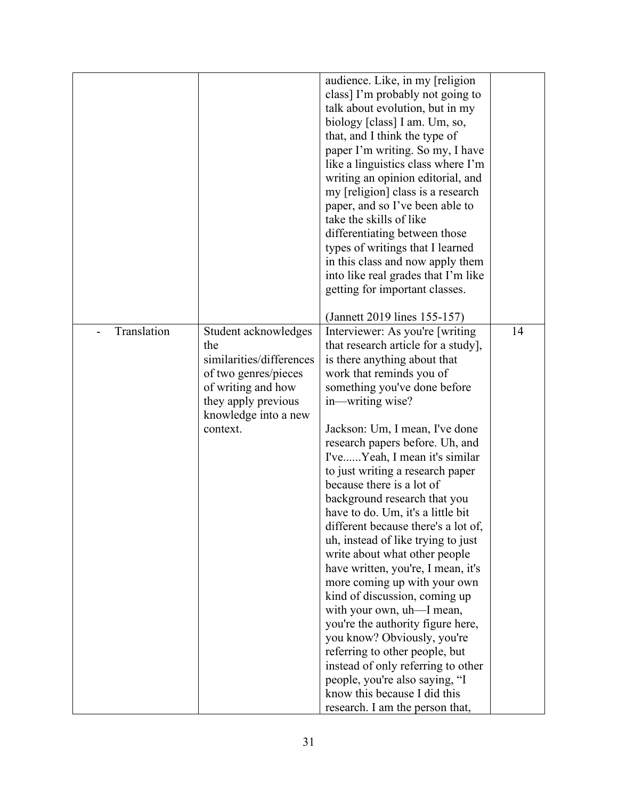|             |                                                                                                                                                      | audience. Like, in my [religion<br>class] I'm probably not going to<br>talk about evolution, but in my<br>biology [class] I am. Um, so,<br>that, and I think the type of                                                                                                            |    |
|-------------|------------------------------------------------------------------------------------------------------------------------------------------------------|-------------------------------------------------------------------------------------------------------------------------------------------------------------------------------------------------------------------------------------------------------------------------------------|----|
|             |                                                                                                                                                      | paper I'm writing. So my, I have<br>like a linguistics class where I'm<br>writing an opinion editorial, and<br>my [religion] class is a research<br>paper, and so I've been able to<br>take the skills of like<br>differentiating between those<br>types of writings that I learned |    |
|             |                                                                                                                                                      | in this class and now apply them<br>into like real grades that I'm like<br>getting for important classes.                                                                                                                                                                           |    |
|             |                                                                                                                                                      | (Jannett 2019 lines 155-157)                                                                                                                                                                                                                                                        |    |
| Translation | Student acknowledges<br>the<br>similarities/differences<br>of two genres/pieces<br>of writing and how<br>they apply previous<br>knowledge into a new | Interviewer: As you're [writing]<br>that research article for a study],<br>is there anything about that<br>work that reminds you of<br>something you've done before<br>in-writing wise?                                                                                             | 14 |
|             | context.                                                                                                                                             | Jackson: Um, I mean, I've done<br>research papers before. Uh, and<br>I'veYeah, I mean it's similar<br>to just writing a research paper<br>because there is a lot of<br>background research that you<br>have to do. Um, it's a little bit                                            |    |
|             |                                                                                                                                                      | different because there's a lot of,<br>uh, instead of like trying to just<br>write about what other people<br>have written, you're, I mean, it's<br>more coming up with your own<br>kind of discussion, coming up                                                                   |    |
|             |                                                                                                                                                      | with your own, uh-I mean,<br>you're the authority figure here,<br>you know? Obviously, you're<br>referring to other people, but<br>instead of only referring to other<br>people, you're also saying, "I<br>know this because I did this                                             |    |
|             |                                                                                                                                                      | research. I am the person that,                                                                                                                                                                                                                                                     |    |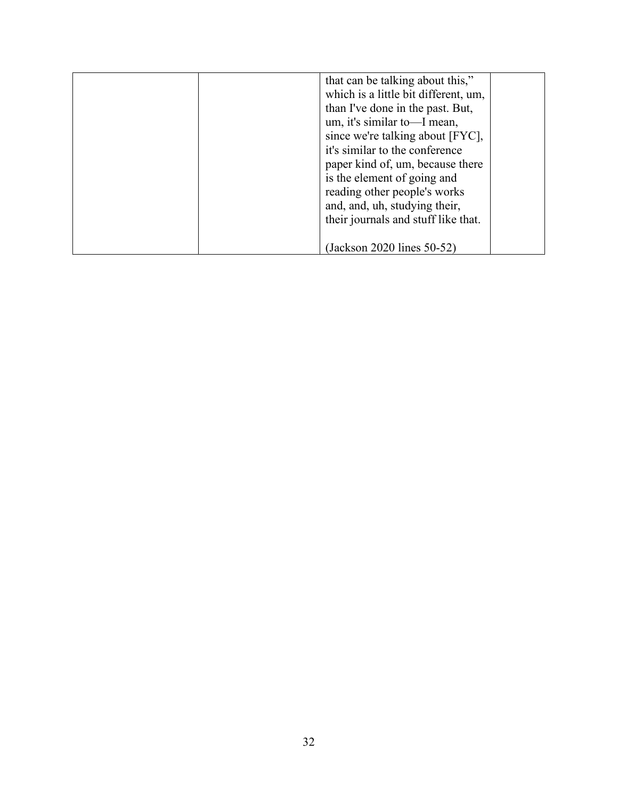| that can be talking about this,"     |
|--------------------------------------|
| which is a little bit different, um, |
|                                      |
| than I've done in the past. But,     |
| um, it's similar to—I mean,          |
| since we're talking about [FYC],     |
| it's similar to the conference       |
| paper kind of, um, because there     |
| is the element of going and          |
| reading other people's works         |
| and, and, uh, studying their,        |
| their journals and stuff like that.  |
|                                      |
| (Jackson 2020 lines 50-52)           |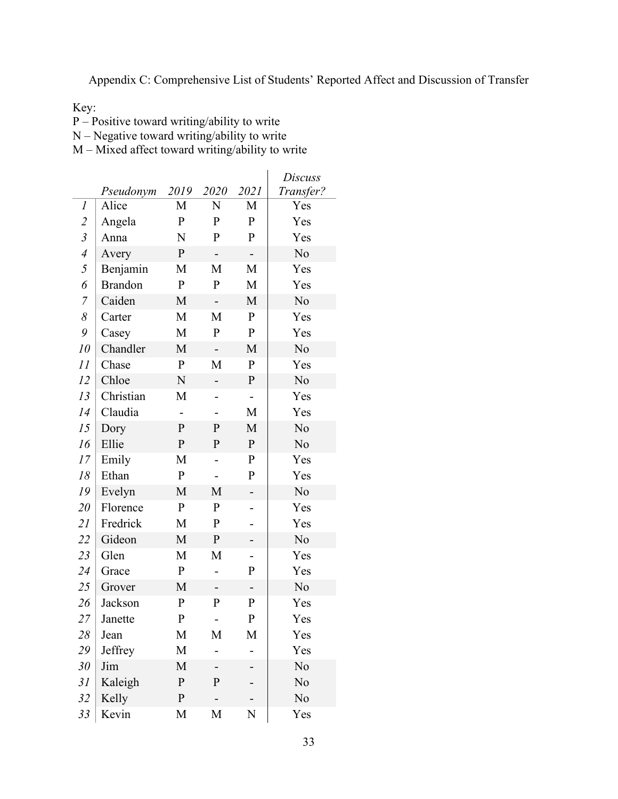<span id="page-39-0"></span>Appendix C: Comprehensive List of Students' Reported Affect and Discussion of Transfer

Key:

P – Positive toward writing/ability to write

N – Negative toward writing/ability to write

M – Mixed affect toward writing/ability to write

|                |                |              |                          |              | Discuss   |
|----------------|----------------|--------------|--------------------------|--------------|-----------|
|                | Pseudonym      | 2019         | 2020                     | 2021         | Transfer? |
| 1              | Alice          | M            | N                        | M            | Yes       |
| $\overline{2}$ | Angela         | $\mathbf P$  | $\mathbf{P}$             | $\mathbf{P}$ | Yes       |
| $\mathfrak{Z}$ | Anna           | N            | P                        | $\mathbf P$  | Yes       |
| $\overline{4}$ | Avery          | $\mathbf P$  | $\overline{\phantom{a}}$ | -            | No        |
| 5              | Benjamin       | M            | M                        | M            | Yes       |
| 6              | <b>Brandon</b> | $\mathbf{P}$ | $\mathbf P$              | M            | Yes       |
| $\overline{7}$ | Caiden         | M            | $\overline{\phantom{0}}$ | M            | No        |
| 8              | Carter         | M            | M                        | ${\bf P}$    | Yes       |
| 9              | Casey          | M            | $\mathbf P$              | ${\bf P}$    | Yes       |
| 10             | Chandler       | M            |                          | M            | No        |
| 11             | Chase          | $\mathbf{P}$ | M                        | $\mathbf P$  | Yes       |
| 12             | Chloe          | N            | $\overline{\phantom{0}}$ | $\mathbf P$  | No        |
| 13             | Christian      | M            |                          | -            | Yes       |
| 14             | Claudia        |              |                          | М            | Yes       |
| 15             | Dory           | $\mathbf{P}$ | $\mathbf{P}$             | M            | No        |
| 16             | Ellie          | $\mathbf P$  | $\mathbf{P}$             | ${\bf P}$    | No        |
| 17             | Emily          | M            |                          | $\mathbf P$  | Yes       |
| 18             | Ethan          | $\mathbf P$  |                          | P            | Yes       |
| 19             | Evelyn         | M            | M                        |              | No        |
| 20             | Florence       | $\mathbf P$  | P                        |              | Yes       |
| 21             | Fredrick       | M            | $\mathbf P$              |              | Yes       |
| 22             | Gideon         | M            | $\mathbf P$              |              | No        |
| 23             | Glen           | M            | M                        | -            | Yes       |
| 24             | Grace          | P            |                          | $\mathbf P$  | Yes       |
| 25             | Grover         | M            |                          |              | No        |
| 26             | Jackson        | $\mathbf P$  | $\mathbf{P}$             | $\mathbf P$  | Yes       |
| 27             | Janette        | $\mathbf P$  |                          | ${\bf P}$    | Yes       |
| 28             | Jean           | M            | M                        | M            | Yes       |
| 29             | Jeffrey        | M            |                          |              | Yes       |
| 30             | Jim            | M            |                          |              | No        |
| 31             | Kaleigh        | ${\bf P}$    | $\mathbf{P}$             |              | No        |
| 32             | Kelly          | $\mathbf{P}$ |                          |              | No        |
| 33             | Kevin          | M            | M                        | N            | Yes       |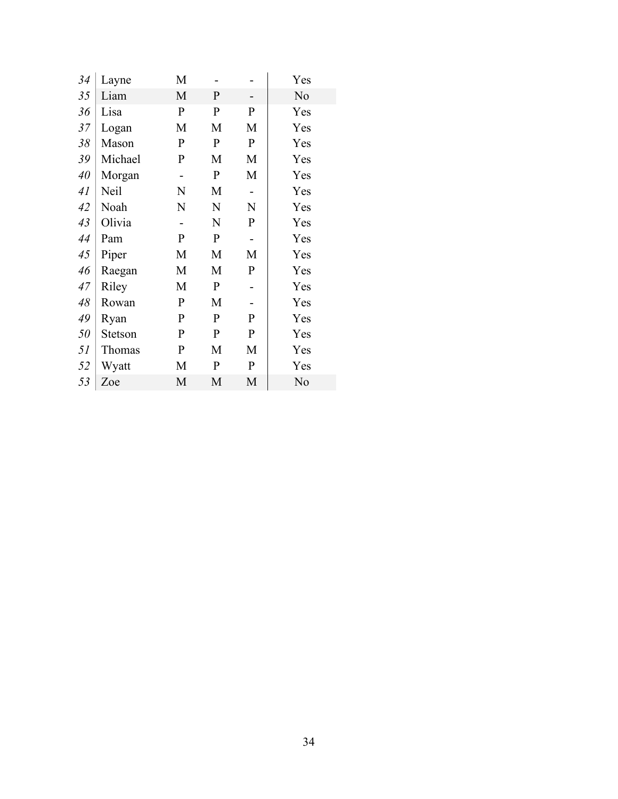| 34 | Layne   | M            |              |              | Yes |
|----|---------|--------------|--------------|--------------|-----|
| 35 | Liam    | M            | $\mathbf{P}$ |              | No  |
| 36 | Lisa    | $\mathbf P$  | P            | P            | Yes |
| 37 | Logan   | M            | M            | M            | Yes |
| 38 | Mason   | $\mathbf{P}$ | $\mathbf P$  | $\mathbf P$  | Yes |
| 39 | Michael | $\mathbf P$  | M            | M            | Yes |
| 40 | Morgan  |              | $\mathbf{P}$ | M            | Yes |
| 41 | Neil    | N            | M            |              | Yes |
| 42 | Noah    | N            | N            | N            | Yes |
| 43 | Olivia  |              | N            | $\mathbf{P}$ | Yes |
| 44 | Pam     | $\mathbf{P}$ | $\mathbf{P}$ |              | Yes |
| 45 | Piper   | M            | M            | М            | Yes |
| 46 | Raegan  | M            | M            | $\mathbf P$  | Yes |
| 47 | Riley   | M            | ${\bf P}$    |              | Yes |
| 48 | Rowan   | $\mathbf P$  | M            |              | Yes |
| 49 | Ryan    | $\mathbf{P}$ | $\mathbf{P}$ | $\mathbf{P}$ | Yes |
| 50 | Stetson | $\mathbf{P}$ | $\mathbf{P}$ | $\mathbf{P}$ | Yes |
| 51 | Thomas  | P            | M            | M            | Yes |
| 52 | Wyatt   | М            | $\mathbf{P}$ | $\mathbf P$  | Yes |
| 53 | Zoe     | M            | M            | M            | No  |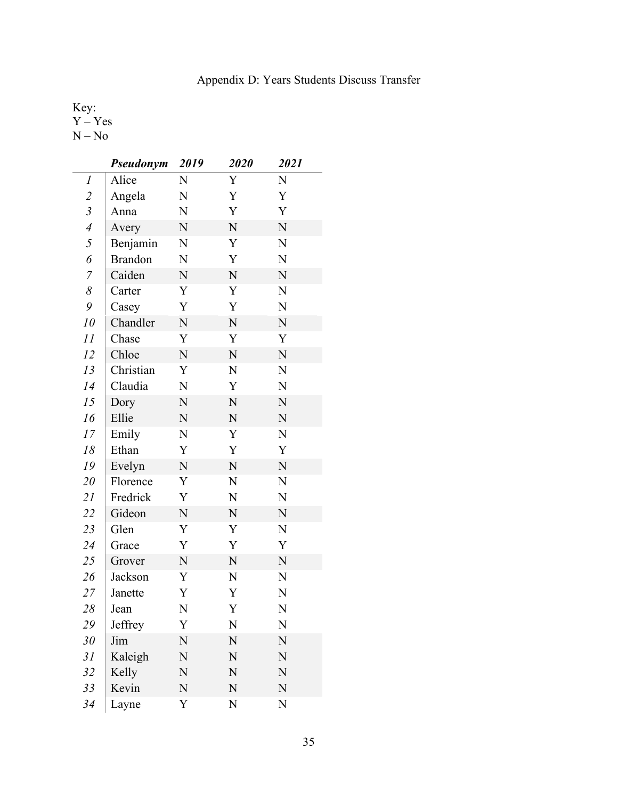# Appendix D: Years Students Discuss Transfer

<span id="page-41-0"></span>Key: Y – Yes N – No

|                  | <b>Pseudonym</b> | 2019        | 2020        | 2021        |
|------------------|------------------|-------------|-------------|-------------|
| $\boldsymbol{l}$ | Alice            | N           | Y           | N           |
| $\overline{c}$   | Angela           | N           | Y           | Y           |
| $\mathfrak{Z}$   | Anna             | N           | Y           | Y           |
| $\overline{4}$   | Avery            | ${\bf N}$   | $\mathbf N$ | $\mathbf N$ |
| 5                | Benjamin         | N           | Y           | N           |
| 6                | <b>Brandon</b>   | N           | Y           | N           |
| $\overline{7}$   | Caiden           | ${\bf N}$   | $\mathbf N$ | $\mathbf N$ |
| $\delta$         | Carter           | Y           | Y           | N           |
| 9                | Casey            | Y           | Y           | N           |
| 10               | Chandler         | ${\bf N}$   | $\mathbf N$ | $\mathbf N$ |
| 11               | Chase            | Y           | Y           | Y           |
| 12               | Chloe            | ${\bf N}$   | ${\bf N}$   | $\mathbf N$ |
| 13               | Christian        | Y           | N           | N           |
| 14               | Claudia          | N           | Y           | N           |
| 15               | Dory             | ${\bf N}$   | N           | ${\bf N}$   |
| 16               | Ellie            | N           | N           | N           |
| 17               | Emily            | N           | Y           | N           |
| 18               | Ethan            | Y           | Y           | Y           |
| 19               | Evelyn           | N           | $\mathbf N$ | N           |
| 20               | Florence         | Y           | N           | N           |
| 21               | Fredrick         | Y           | N           | N           |
| 22               | Gideon           | $\mathbf N$ | $\mathbf N$ | $\mathbf N$ |
| 23               | Glen             | Y           | Y           | N           |
| 24               | Grace            | Y           | Y           | Y           |
| 25               | Grover           | N           | ${\bf N}$   | ${\bf N}$   |
| 26               | Jackson          | Y           | N           | N           |
| 27               | Janette          | Y           | Y           | N           |
| 28               | Jean             | ${\bf N}$   | Y           | N           |
| 29               | Jeffrey          | Y           | N           | N           |
| 30               | Jim              | N           | N           | N           |
| 31               | Kaleigh          | N           | N           | N           |
| 32               | Kelly            | N           | N           | N           |
| 33               | Kevin            | ${\bf N}$   | N           | ${\bf N}$   |
| 34               | Layne            | Y           | N           | N           |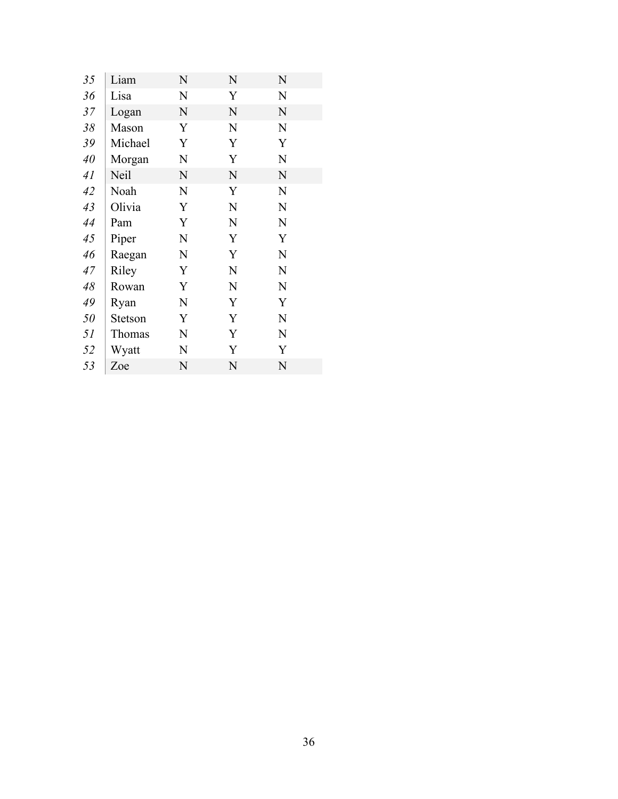| 35 | Liam        | N           | N           | N           |  |
|----|-------------|-------------|-------------|-------------|--|
| 36 | Lisa        | N           | Y           | N           |  |
| 37 | Logan       | $\mathbf N$ | $\mathbf N$ | $\mathbf N$ |  |
| 38 | Mason       | Y           | N           | N           |  |
| 39 | Michael     | Y           | Y           | Y           |  |
| 40 | Morgan      | N           | Y           | N           |  |
| 41 | <b>Neil</b> | $\mathbf N$ | N           | $\mathbf N$ |  |
| 42 | Noah        | N           | Y           | N           |  |
| 43 | Olivia      | Y           | N           | N           |  |
| 44 | Pam         | Y           | $\mathbf N$ | N           |  |
| 45 | Piper       | N           | Y           | Y           |  |
| 46 | Raegan      | N           | Y           | N           |  |
| 47 | Riley       | Y           | N           | N           |  |
| 48 | Rowan       | Y           | N           | N           |  |
| 49 | Ryan        | N           | Y           | Y           |  |
| 50 | Stetson     | Y           | Y           | N           |  |
| 51 | Thomas      | N           | Y           | N           |  |
| 52 | Wyatt       | N           | Y           | Y           |  |
| 53 | Zoe         | N           | N           | N           |  |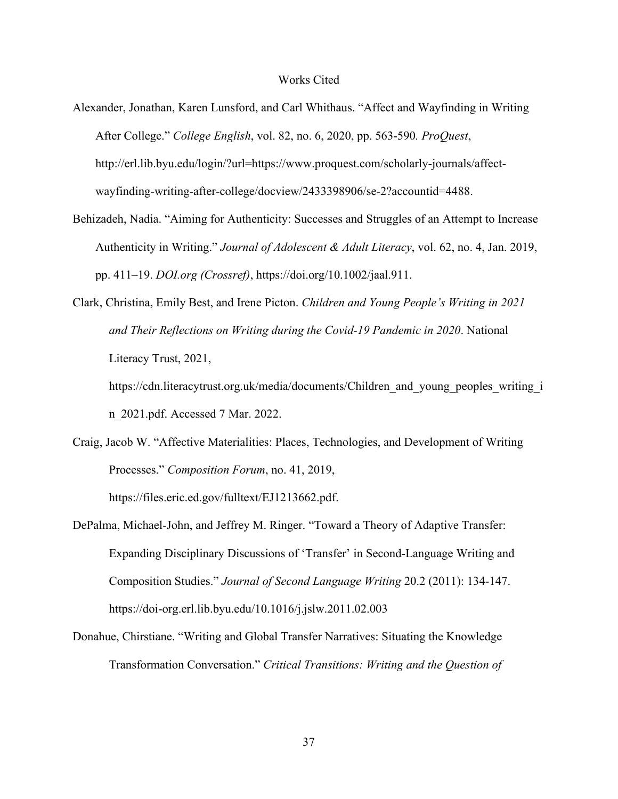#### Works Cited

- <span id="page-43-0"></span>Alexander, Jonathan, Karen Lunsford, and Carl Whithaus. "Affect and Wayfinding in Writing After College." *College English*, vol. 82, no. 6, 2020, pp. 563-590*. ProQuest*, http://erl.lib.byu.edu/login/?url=https://www.proquest.com/scholarly-journals/affectwayfinding-writing-after-college/docview/2433398906/se-2?accountid=4488.
- Behizadeh, Nadia. "Aiming for Authenticity: Successes and Struggles of an Attempt to Increase Authenticity in Writing." *Journal of Adolescent & Adult Literacy*, vol. 62, no. 4, Jan. 2019, pp. 411–19. *DOI.org (Crossref)*, https://doi.org/10.1002/jaal.911.
- Clark, Christina, Emily Best, and Irene Picton. *Children and Young People's Writing in 2021 and Their Reflections on Writing during the Covid-19 Pandemic in 2020*. National Literacy Trust, 2021,

https://cdn.literacytrust.org.uk/media/documents/Children and young peoples writing i n\_2021.pdf. Accessed 7 Mar. 2022.

Craig, Jacob W. "Affective Materialities: Places, Technologies, and Development of Writing Processes." *Composition Forum*, no. 41, 2019,

https://files.eric.ed.gov/fulltext/EJ1213662.pdf.

- DePalma, Michael-John, and Jeffrey M. Ringer. "Toward a Theory of Adaptive Transfer: Expanding Disciplinary Discussions of 'Transfer' in Second-Language Writing and Composition Studies." *Journal of Second Language Writing* 20.2 (2011): 134-147. https://doi-org.erl.lib.byu.edu/10.1016/j.jslw.2011.02.003
- Donahue, Chirstiane. "Writing and Global Transfer Narratives: Situating the Knowledge Transformation Conversation." *Critical Transitions: Writing and the Question of*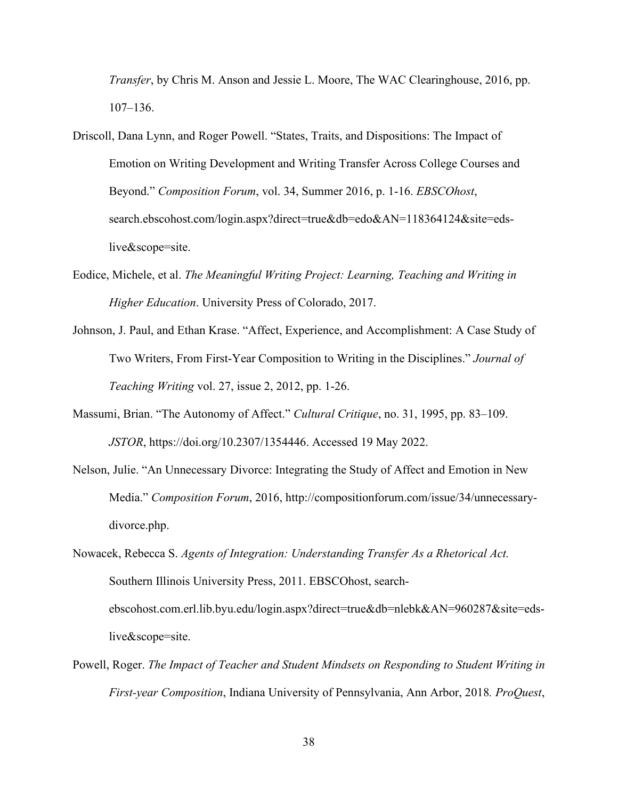*Transfer*, by Chris M. Anson and Jessie L. Moore, The WAC Clearinghouse, 2016, pp. 107–136.

- Driscoll, Dana Lynn, and Roger Powell. "States, Traits, and Dispositions: The Impact of Emotion on Writing Development and Writing Transfer Across College Courses and Beyond." *Composition Forum*, vol. 34, Summer 2016, p. 1-16. *EBSCOhost*, search.ebscohost.com/login.aspx?direct=true&db=edo&AN=118364124&site=edslive&scope=site.
- Eodice, Michele, et al. *The Meaningful Writing Project: Learning, Teaching and Writing in Higher Education*. University Press of Colorado, 2017.
- Johnson, J. Paul, and Ethan Krase. "Affect, Experience, and Accomplishment: A Case Study of Two Writers, From First-Year Composition to Writing in the Disciplines." *Journal of Teaching Writing* vol. 27, issue 2, 2012, pp. 1-26.
- Massumi, Brian. "The Autonomy of Affect." *Cultural Critique*, no. 31, 1995, pp. 83–109. *JSTOR*, https://doi.org/10.2307/1354446. Accessed 19 May 2022.
- Nelson, Julie. "An Unnecessary Divorce: Integrating the Study of Affect and Emotion in New Media." *Composition Forum*, 2016, http://compositionforum.com/issue/34/unnecessarydivorce.php.
- Nowacek, Rebecca S. *Agents of Integration: Understanding Transfer As a Rhetorical Act.* Southern Illinois University Press, 2011. EBSCOhost, searchebscohost.com.erl.lib.byu.edu/login.aspx?direct=true&db=nlebk&AN=960287&site=edslive&scope=site.
- Powell, Roger. *The Impact of Teacher and Student Mindsets on Responding to Student Writing in First-year Composition*, Indiana University of Pennsylvania, Ann Arbor, 2018*. ProQuest*,